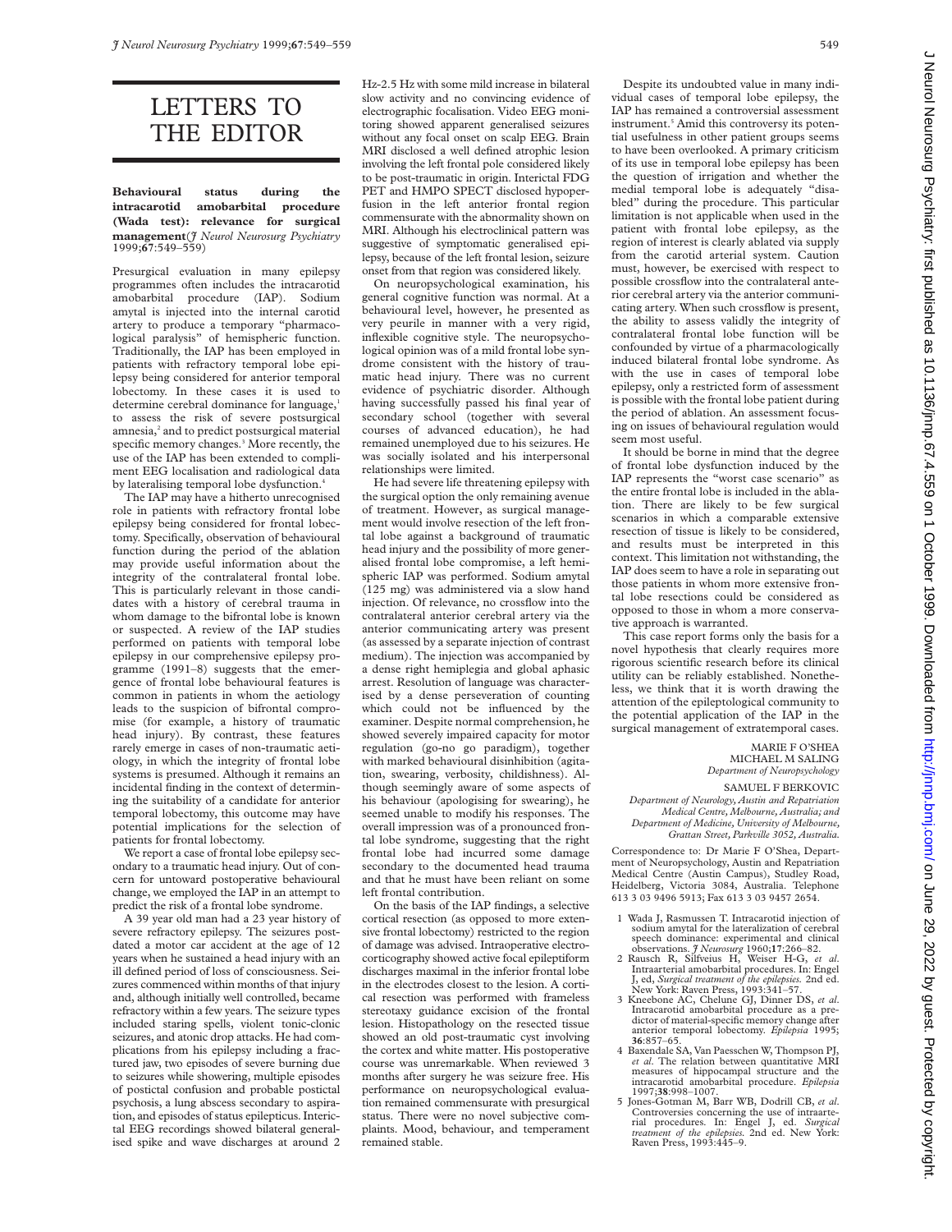# LETTERS TO THE EDITOR

## **Behavioural status during the intracarotid amobarbital procedure (Wada test): relevance for surgical management**(*J Neurol Neurosurg Psychiatry* 1999;**67**:549–559)

Presurgical evaluation in many epilepsy programmes often includes the intracarotid amobarbital procedure (IAP). Sodium amytal is injected into the internal carotid artery to produce a temporary "pharmacological paralysis" of hemispheric function. Traditionally, the IAP has been employed in patients with refractory temporal lobe epilepsy being considered for anterior temporal lobectomy. In these cases it is used to determine cerebral dominance for language,<sup>1</sup> to assess the risk of severe postsurgical amnesia,<sup>2</sup> and to predict postsurgical material specific memory changes.<sup>3</sup> More recently, the use of the IAP has been extended to compliment EEG localisation and radiological data by lateralising temporal lobe dysfunction.<sup>4</sup>

The IAP may have a hitherto unrecognised role in patients with refractory frontal lobe epilepsy being considered for frontal lobectomy. Specifically, observation of behavioural function during the period of the ablation may provide useful information about the integrity of the contralateral frontal lobe. This is particularly relevant in those candidates with a history of cerebral trauma in whom damage to the bifrontal lobe is known or suspected. A review of the IAP studies performed on patients with temporal lobe epilepsy in our comprehensive epilepsy programme (1991–8) suggests that the emergence of frontal lobe behavioural features is common in patients in whom the aetiology leads to the suspicion of bifrontal compromise (for example, a history of traumatic head injury). By contrast, these features rarely emerge in cases of non-traumatic aetiology, in which the integrity of frontal lobe systems is presumed. Although it remains an incidental finding in the context of determining the suitability of a candidate for anterior temporal lobectomy, this outcome may have potential implications for the selection of patients for frontal lobectomy.

We report a case of frontal lobe epilepsy secondary to a traumatic head injury. Out of concern for untoward postoperative behavioural change, we employed the IAP in an attempt to predict the risk of a frontal lobe syndrome.

A 39 year old man had a 23 year history of severe refractory epilepsy. The seizures postdated a motor car accident at the age of 12 years when he sustained a head injury with an ill defined period of loss of consciousness. Seizures commenced within months of that injury and, although initially well controlled, became refractory within a few years. The seizure types included staring spells, violent tonic-clonic seizures, and atonic drop attacks. He had complications from his epilepsy including a fractured jaw, two episodes of severe burning due to seizures while showering, multiple episodes of postictal confusion and probable postictal psychosis, a lung abscess secondary to aspiration, and episodes of status epilepticus. Interictal EEG recordings showed bilateral generalised spike and wave discharges at around 2 Hz-2.5 Hz with some mild increase in bilateral slow activity and no convincing evidence of electrographic focalisation. Video EEG monitoring showed apparent generalised seizures without any focal onset on scalp EEG. Brain MRI disclosed a well defined atrophic lesion involving the left frontal pole considered likely to be post-traumatic in origin. Interictal FDG PET and HMPO SPECT disclosed hypoperfusion in the left anterior frontal region commensurate with the abnormality shown on MRI. Although his electroclinical pattern was suggestive of symptomatic generalised epilepsy, because of the left frontal lesion, seizure onset from that region was considered likely.

On neuropsychological examination, his general cognitive function was normal. At a behavioural level, however, he presented as very peurile in manner with a very rigid, inflexible cognitive style. The neuropsychological opinion was of a mild frontal lobe syndrome consistent with the history of traumatic head injury. There was no current evidence of psychiatric disorder. Although having successfully passed his final year of secondary school (together with several courses of advanced education), he had remained unemployed due to his seizures. He was socially isolated and his interpersonal relationships were limited.

He had severe life threatening epilepsy with the surgical option the only remaining avenue of treatment. However, as surgical management would involve resection of the left frontal lobe against a background of traumatic head injury and the possibility of more generalised frontal lobe compromise, a left hemispheric IAP was performed. Sodium amytal (125 mg) was administered via a slow hand injection. Of relevance, no crossflow into the contralateral anterior cerebral artery via the anterior communicating artery was present (as assessed by a separate injection of contrast medium). The injection was accompanied by a dense right hemiplegia and global aphasic arrest. Resolution of language was characterised by a dense perseveration of counting which could not be influenced by the examiner. Despite normal comprehension, he showed severely impaired capacity for motor regulation (go-no go paradigm), together with marked behavioural disinhibition (agitation, swearing, verbosity, childishness). Although seemingly aware of some aspects of his behaviour (apologising for swearing), he seemed unable to modify his responses. The overall impression was of a pronounced frontal lobe syndrome, suggesting that the right frontal lobe had incurred some damage secondary to the documented head trauma and that he must have been reliant on some left frontal contribution.

On the basis of the IAP findings, a selective cortical resection (as opposed to more extensive frontal lobectomy) restricted to the region of damage was advised. Intraoperative electrocorticography showed active focal epileptiform discharges maximal in the inferior frontal lobe in the electrodes closest to the lesion. A cortical resection was performed with frameless stereotaxy guidance excision of the frontal lesion. Histopathology on the resected tissue showed an old post-traumatic cyst involving the cortex and white matter. His postoperative course was unremarkable. When reviewed 3 months after surgery he was seizure free. His performance on neuropsychological evaluation remained commensurate with presurgical status. There were no novel subjective complaints. Mood, behaviour, and temperament remained stable.

Despite its undoubted value in many individual cases of temporal lobe epilepsy, the IAP has remained a controversial assessment instrument.<sup>5</sup> Amid this controversy its potential usefulness in other patient groups seems to have been overlooked. A primary criticism of its use in temporal lobe epilepsy has been the question of irrigation and whether the medial temporal lobe is adequately "disabled" during the procedure. This particular limitation is not applicable when used in the patient with frontal lobe epilepsy, as the region of interest is clearly ablated via supply from the carotid arterial system. Caution must, however, be exercised with respect to possible crossflow into the contralateral anterior cerebral artery via the anterior communicating artery. When such crossflow is present, the ability to assess validly the integrity of contralateral frontal lobe function will be confounded by virtue of a pharmacologically induced bilateral frontal lobe syndrome. As with the use in cases of temporal lobe epilepsy, only a restricted form of assessment is possible with the frontal lobe patient during the period of ablation. An assessment focusing on issues of behavioural regulation would seem most useful.

It should be borne in mind that the degree of frontal lobe dysfunction induced by the IAP represents the "worst case scenario" as the entire frontal lobe is included in the ablation. There are likely to be few surgical scenarios in which a comparable extensive resection of tissue is likely to be considered, and results must be interpreted in this context. This limitation not withstanding, the IAP does seem to have a role in separating out those patients in whom more extensive frontal lobe resections could be considered as opposed to those in whom a more conservative approach is warranted.

This case report forms only the basis for a novel hypothesis that clearly requires more rigorous scientific research before its clinical utility can be reliably established. Nonetheless, we think that it is worth drawing the attention of the epileptological community to the potential application of the IAP in the surgical management of extratemporal cases.

> MARIE F O'SHEA MICHAEL M SALING *Department of Neuropsychology*

SAMUEL F BERKOVIC *Department of Neurology, Austin and Repatriation Medical Centre, Melbourne, Australia; and Department of Medicine, University of Melbourne, Grattan Street, Parkville 3052, Australia.*

Correspondence to: Dr Marie F O'Shea, Department of Neuropsychology, Austin and Repatriation Medical Centre (Austin Campus), Studley Road, Heidelberg, Victoria 3084, Australia. Telephone 613 3 03 9496 5913; Fax 613 3 03 9457 2654.

- 1 Wada J, Rasmussen T. Intracarotid injection of sodium amytal for the lateralization of cerebral speech dominance: experimental and clinical
- observations. *J Neurosurg* 1960;**17**:266–82. 2 Rausch R, Silfveius H, Weiser H-G, *et al*. Intraarterial amobarbital procedures. In: Engel J, ed, *Surgical treatment of the epilepsies.* 2nd ed. New York: Raven Press, 1993:341–57.
- 3 Kneebone AC, Chelune GJ, Dinner DS, *et al*. Intracarotid amobarbital procedure as a predictor of material-specific memory change after anterior temporal lobectomy. *Epilepsia* 1995;
- **<sup>36</sup>**:857–65. 4 Baxendale SA, Van Paesschen W, Thompson PJ, *et al*. The relation between quantitative MRI measures of hippocampal structure and the intracarotid amobarbital procedure. *Epilepsia* 1997;38:998-1007.<br>5 Jones-Gotman M, Barr WB, Dodrill CB, et al.
- 5 Jones-Gotman M, Barr WB, Dodrill CB, et al.<br>Controversies concerning the use of intraarte-<br>rial procedures. In: Engel J, ed. Surgical<br>traatment of the epilepsies. 2nd ed. New York:<br>Raven Press, 1993:445-9.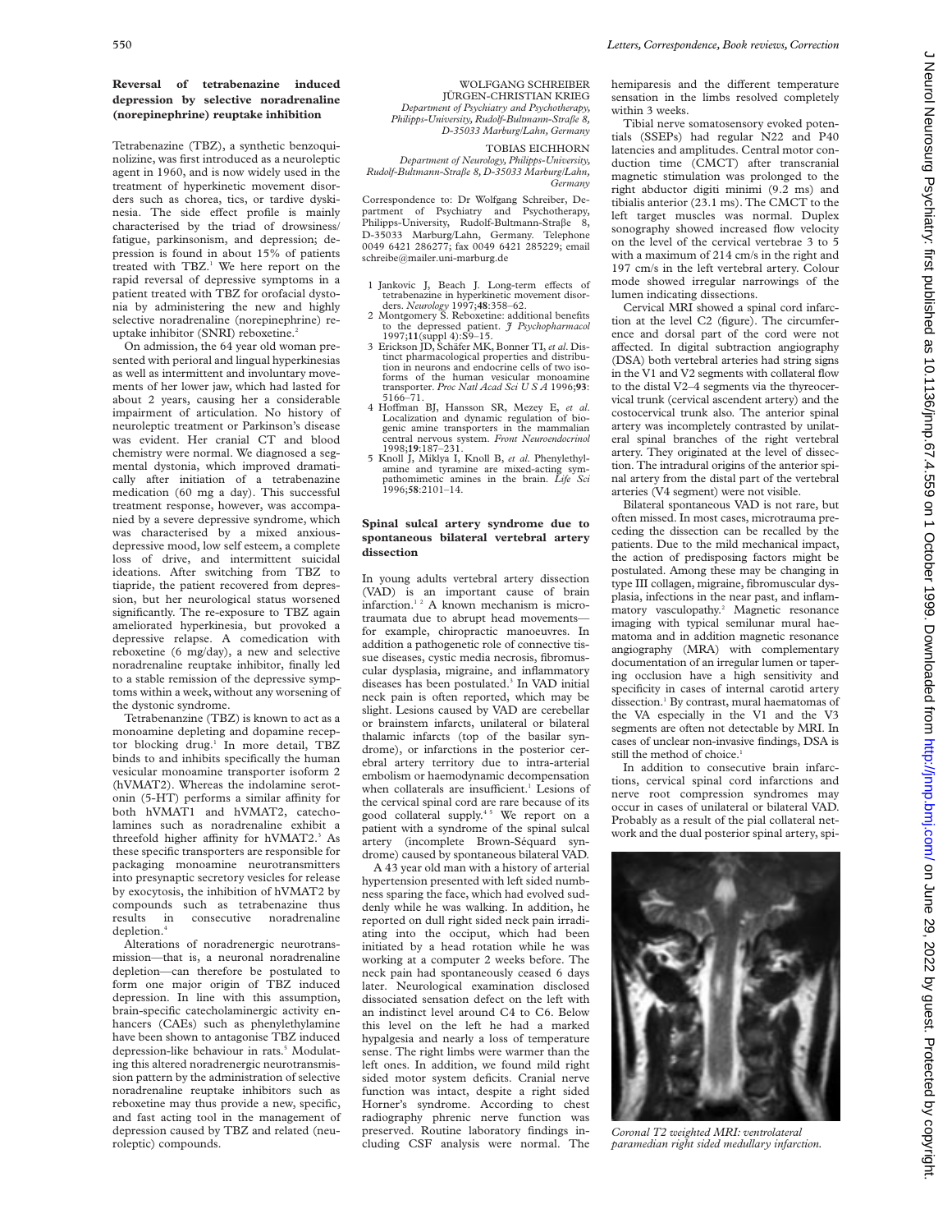# **Reversal of tetrabenazine induced depression by selective noradrenaline (norepinephrine) reuptake inhibition**

Tetrabenazine (TBZ), a synthetic benzoquinolizine, was first introduced as a neuroleptic agent in 1960, and is now widely used in the treatment of hyperkinetic movement disorders such as chorea, tics, or tardive dyskinesia. The side effect profile is mainly characterised by the triad of drowsiness/ fatigue, parkinsonism, and depression; depression is found in about 15% of patients treated with TBZ.<sup>1</sup> We here report on the rapid reversal of depressive symptoms in a patient treated with TBZ for orofacial dystonia by administering the new and highly selective noradrenaline (norepinephrine) reuptake inhibitor (SNRI) reboxetine.<sup>2</sup>

On admission, the 64 year old woman presented with perioral and lingual hyperkinesias as well as intermittent and involuntary movements of her lower jaw, which had lasted for about 2 years, causing her a considerable impairment of articulation. No history of neuroleptic treatment or Parkinson's disease was evident. Her cranial CT and blood chemistry were normal. We diagnosed a segmental dystonia, which improved dramatically after initiation of a tetrabenazine medication (60 mg a day). This successful treatment response, however, was accompanied by a severe depressive syndrome, which was characterised by a mixed anxiousdepressive mood, low self esteem, a complete loss of drive, and intermittent suicidal ideations. After switching from TBZ to tiapride, the patient recovered from depression, but her neurological status worsened significantly. The re-exposure to TBZ again ameliorated hyperkinesia, but provoked a depressive relapse. A comedication with reboxetine (6 mg/day), a new and selective noradrenaline reuptake inhibitor, finally led to a stable remission of the depressive symptoms within a week, without any worsening of the dystonic syndrome.

Tetrabenanzine (TBZ) is known to act as a monoamine depleting and dopamine receptor blocking drug.<sup>1</sup> In more detail, TBZ binds to and inhibits specifically the human vesicular monoamine transporter isoform 2 (hVMAT2). Whereas the indolamine serotonin (5-HT) performs a similar affinity for both hVMAT1 and hVMAT2, catecholamines such as noradrenaline exhibit a threefold higher affinity for hVMAT2.<sup>3</sup> As these specific transporters are responsible for packaging monoamine neurotransmitters into presynaptic secretory vesicles for release by exocytosis, the inhibition of hVMAT2 by compounds such as tetrabenazine thus results in consecutive noradrenaline depletion.<sup>4</sup>

Alterations of noradrenergic neurotransmission—that is, a neuronal noradrenaline depletion—can therefore be postulated to form one major origin of TBZ induced depression. In line with this assumption, brain-specific catecholaminergic activity enhancers (CAEs) such as phenylethylamine have been shown to antagonise TBZ induced depression-like behaviour in rats.<sup>5</sup> Modulating this altered noradrenergic neurotransmission pattern by the administration of selective noradrenaline reuptake inhibitors such as reboxetine may thus provide a new, specific, and fast acting tool in the management of depression caused by TBZ and related (neuroleptic) compounds.

WOLFGANG SCHREIBER JÜRGEN-CHRISTIAN KRIEG *Department of Psychiatry and Psychotherapy, Philipps-University, Rudolf-Bultmann-Stra*â*e 8, D-35033 Marburg/Lahn, Germany*

### TOBIAS EICHHORN

*Department of Neurology, Philipps-University, Rudolf-Bultmann-Stra*â*e 8, D-35033 Marburg/Lahn, Germany*

Correspondence to: Dr Wolfgang Schreiber, De-partment of Psychiatry and Psychotherapy, Philipps-University, Rudolf-Bultmann-Straße 8, D-35033 Marburg/Lahn, Germany. Telephone 0049 6421 286277; fax 0049 6421 285229; email schreibe@mailer.uni-marburg.de

- 1 Jankovic J, Beach J. Long-term effects of tetrabenazine in hyperkinetic movement disor-
- ders. *Neurology* 1997;**48**:358–62.<br>
2 Montgomery S. Reboxetine: additional benefits<br>
to the depressed patient. *J Psychopharmacol*<br>
1997;**11**(suppl 4):S9–15.
- 3 Erickson JD, Schäfer MK, Bonner TI, *et al*. Distinct pharmacological properties and distribution in neurons and endocrine cells of two iso-forms of the human vesicular monoamine transporter. *Proc Natl Acad Sci U S A* 1996;**93**:
- 5166–71.<br>4 Hoffman BJ, Hansson SR, Mezey E, *et al.*<br>Localization and dynamic regulation of bio-<br>genic amine transporters in the mammalian central nervous system. *Front Neuroendocrinol* 1998;**19**:187–231.
- 5 Knoll J, Miklya I, Knoll B, *et al*. Phenylethylamine and tyramine are mixed-acting sym-pathomimetic amines in the brain. *Life Sci* 1996;**58**:2101–14.

## **Spinal sulcal artery syndrome due to spontaneous bilateral vertebral artery dissection**

In young adults vertebral artery dissection (VAD) is an important cause of brain infarction.<sup>12</sup> A known mechanism is microtraumata due to abrupt head movements for example, chiropractic manoeuvres. In addition a pathogenetic role of connective tissue diseases, cystic media necrosis, fibromuscular dysplasia, migraine, and inflammatory diseases has been postulated.<sup>3</sup> In VAD initial neck pain is often reported, which may be slight. Lesions caused by VAD are cerebellar or brainstem infarcts, unilateral or bilateral thalamic infarcts (top of the basilar syndrome), or infarctions in the posterior cerebral artery territory due to intra-arterial embolism or haemodynamic decompensation when collaterals are insufficient.<sup>1</sup> Lesions of the cervical spinal cord are rare because of its good collateral supply.<sup>45</sup> We report on a patient with a syndrome of the spinal sulcal artery (incomplete Brown-Séquard syndrome) caused by spontaneous bilateral VAD.

A 43 year old man with a history of arterial hypertension presented with left sided numbness sparing the face, which had evolved suddenly while he was walking. In addition, he reported on dull right sided neck pain irradiating into the occiput, which had been initiated by a head rotation while he was working at a computer 2 weeks before. The neck pain had spontaneously ceased 6 days later. Neurological examination disclosed dissociated sensation defect on the left with an indistinct level around C4 to C6. Below this level on the left he had a marked hypalgesia and nearly a loss of temperature sense. The right limbs were warmer than the left ones. In addition, we found mild right sided motor system deficits. Cranial nerve function was intact, despite a right sided Horner's syndrome. According to chest radiography phrenic nerve function was preserved. Routine laboratory findings including CSF analysis were normal. The

hemiparesis and the different temperature sensation in the limbs resolved completely within 3 weeks.

Tibial nerve somatosensory evoked potentials (SSEPs) had regular N22 and P40 latencies and amplitudes. Central motor conduction time (CMCT) after transcranial magnetic stimulation was prolonged to the right abductor digiti minimi (9.2 ms) and tibialis anterior (23.1 ms). The CMCT to the left target muscles was normal. Duplex sonography showed increased flow velocity on the level of the cervical vertebrae 3 to 5 with a maximum of 214 cm/s in the right and 197 cm/s in the left vertebral artery. Colour mode showed irregular narrowings of the lumen indicating dissections.

Cervical MRI showed a spinal cord infarction at the level C2 (figure). The circumference and dorsal part of the cord were not affected. In digital subtraction angiography (DSA) both vertebral arteries had string signs in the V1 and V2 segments with collateral flow to the distal V2–4 segments via the thyreocervical trunk (cervical ascendent artery) and the costocervical trunk also. The anterior spinal artery was incompletely contrasted by unilateral spinal branches of the right vertebral artery. They originated at the level of dissection. The intradural origins of the anterior spinal artery from the distal part of the vertebral arteries (V4 segment) were not visible.

Bilateral spontaneous VAD is not rare, but often missed. In most cases, microtrauma preceding the dissection can be recalled by the patients. Due to the mild mechanical impact, the action of predisposing factors might be postulated. Among these may be changing in type III collagen, migraine, fibromuscular dysplasia, infections in the near past, and inflammatory vasculopathy.<sup>2</sup> Magnetic resonance imaging with typical semilunar mural haematoma and in addition magnetic resonance angiography (MRA) with complementary documentation of an irregular lumen or tapering occlusion have a high sensitivity and specificity in cases of internal carotid artery dissection.<sup>1</sup> By contrast, mural haematomas of the VA especially in the V1 and the V3 segments are often not detectable by MRI. In cases of unclear non-invasive findings, DSA is still the method of choice.<sup>1</sup>

In addition to consecutive brain infarctions, cervical spinal cord infarctions and nerve root compression syndromes may occur in cases of unilateral or bilateral VAD. Probably as a result of the pial collateral network and the dual posterior spinal artery, spi-



*Coronal T2 weighted MRI: ventrolateral paramedian right sided medullary infarction.*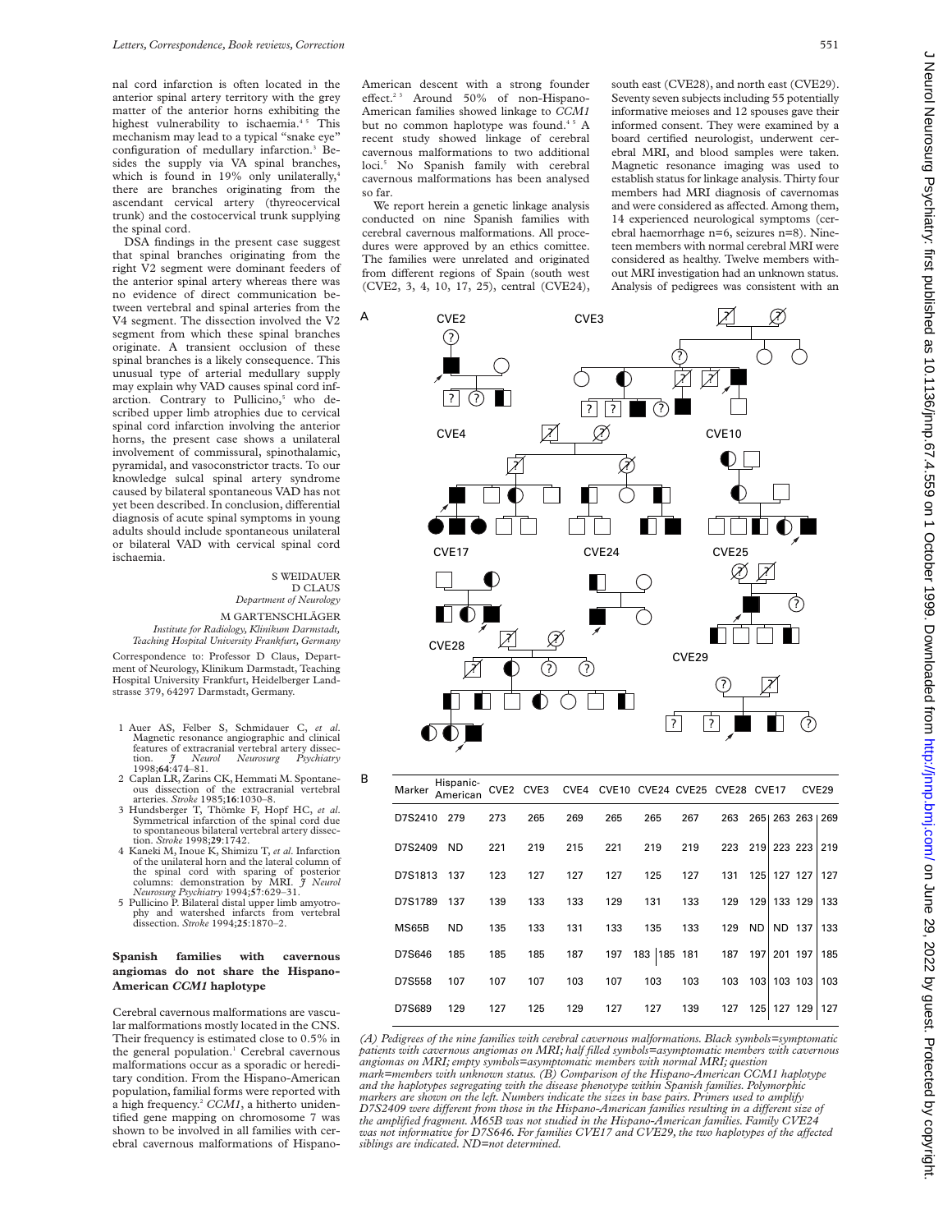nal cord infarction is often located in the anterior spinal artery territory with the grey matter of the anterior horns exhibiting the highest vulnerability to ischaemia.<sup>45</sup> This mechanism may lead to a typical "snake eye" configuration of medullary infarction.<sup>3</sup> Besides the supply via VA spinal branches, which is found in 19% only unilaterally,<sup>4</sup> there are branches originating from the ascendant cervical artery (thyreocervical trunk) and the costocervical trunk supplying the spinal cord.

DSA findings in the present case suggest that spinal branches originating from the right V2 segment were dominant feeders of the anterior spinal artery whereas there was no evidence of direct communication between vertebral and spinal arteries from the V4 segment. The dissection involved the V2 segment from which these spinal branches originate. A transient occlusion of these spinal branches is a likely consequence. This unusual type of arterial medullary supply may explain why VAD causes spinal cord infarction. Contrary to Pullicino,<sup>5</sup> who described upper limb atrophies due to cervical spinal cord infarction involving the anterior horns, the present case shows a unilateral involvement of commissural, spinothalamic, pyramidal, and vasoconstrictor tracts. To our knowledge sulcal spinal artery syndrome caused by bilateral spontaneous VAD has not yet been described. In conclusion, differential diagnosis of acute spinal symptoms in young adults should include spontaneous unilateral or bilateral VAD with cervical spinal cord ischaemia.

> S WEIDAUER D CLAUS

A

B

*Department of Neurology*

M GARTENSCHLÄGER *Institute for Radiology, Klinikum Darmstadt, Teaching Hospital University Frankfurt, Germany*

Correspondence to: Professor D Claus, Department of Neurology, Klinikum Darmstadt, Teaching Hospital University Frankfurt, Heidelberger Landstrasse 379, 64297 Darmstadt, Germany.

- 1 Auer AS, Felber S, Schmidauer C, *et al*. Magnetic resonance angiographic and clinical features of extracranial vertebral artery dissection. *J Neurol Neurosurg Psychiatry* 1998;**64**:474–81.
- 2 Caplan LR, Zarins CK, Hemmati M. Spontaneous dissection of the extracranial vertebral arteries. *Stroke* 1985;**16**:1030–8. 3 Hundsberger T, Thömke F, Hopf HC, *et al*.
- Symmetrical infarction of the spinal cord due to spontaneous bilateral vertebral artery dissection. *Stroke* 1998;**29**:1742.
- 4 Kaneki M, Inoue K, Shimizu T, *et al*. Infarction of the unilateral horn and the lateral column of the spinal cord with sparing of posterior columns: demonstration by MRI. *J Neurol Neurosurg Psychiatry* 1994;**57**:629–31.
- 5 Pullicino P. Bilateral distal upper limb amyotrophy and watershed infarcts from vertebral dissection. *Stroke* 1994;**25**:1870–2.

# **Spanish families with cavernous angiomas do not share the Hispano-American** *CCM1* **haplotype**

Cerebral cavernous malformations are vascular malformations mostly located in the CNS. Their frequency is estimated close to 0.5% in the general population.<sup>1</sup> Cerebral cavernous malformations occur as a sporadic or hereditary condition. From the Hispano-American population, familial forms were reported with a high frequency.2 *CCM1*, a hitherto unidentified gene mapping on chromosome 7 was shown to be involved in all families with cerebral cavernous malformations of HispanoAmerican descent with a strong founder effect.<sup>2 3</sup> Around 50% of non-Hispano-American families showed linkage to *CCM1* but no common haplotype was found.<sup>45</sup> A recent study showed linkage of cerebral cavernous malformations to two additional loci.5 No Spanish family with cerebral cavernous malformations has been analysed so far.

We report herein a genetic linkage analysis conducted on nine Spanish families with cerebral cavernous malformations. All procedures were approved by an ethics comittee. The families were unrelated and originated from different regions of Spain (south west (CVE2, 3, 4, 10, 17, 25), central (CVE24),

south east (CVE28), and north east (CVE29). Seventy seven subjects including 55 potentially informative meioses and 12 spouses gave their informed consent. They were examined by a board certified neurologist, underwent cerebral MRI, and blood samples were taken. Magnetic resonance imaging was used to establish status for linkage analysis. Thirty four members had MRI diagnosis of cavernomas and were considered as affected. Among them, 14 experienced neurological symptoms (cerebral haemorrhage n=6, seizures n=8). Nineteen members with normal cerebral MRI were considered as healthy. Twelve members without MRI investigation had an unknown status. Analysis of pedigrees was consistent with an



| Marker  | Hispanic- |     |     |     |     | CVE2 CVE3 CVE4 CVE10 CVE24 CVE25 CVE28 CVE17 |     |         |           |             |                 | CVE29 |
|---------|-----------|-----|-----|-----|-----|----------------------------------------------|-----|---------|-----------|-------------|-----------------|-------|
| D7S2410 | 279       | 273 | 265 | 269 | 265 | 265                                          | 267 | 263     |           |             | 265 263 263 269 |       |
| D7S2409 | <b>ND</b> | 221 | 219 | 215 | 221 | 219                                          | 219 | 223     |           | 219 223 223 |                 | 219   |
| D7S1813 | 137       | 123 | 127 | 127 | 127 | 125                                          | 127 | 131     | 125       |             | 127 127         | 127   |
| D7S1789 | 137       | 139 | 133 | 133 | 129 | 131                                          | 133 | 129     |           | 129 133 129 |                 | 133   |
| MS65B   | ND        | 135 | 133 | 131 | 133 | 135                                          | 133 | 129     | <b>ND</b> |             | ND 137          | 133   |
| D7S646  | 185       | 185 | 185 | 187 | 197 | 183 185 181                                  |     | 187 197 |           |             | 201 197         | 185   |
| D7S558  | 107       | 107 | 107 | 103 | 107 | 103                                          | 103 | 103     |           | 103 103 103 |                 | 103   |
| D7S689  | 129       | 127 | 125 | 129 | 127 | 127                                          | 139 | 127     |           |             | 125 127 129 127 |       |

*(A) Pedigrees of the nine families with cerebral cavernous malformations. Black symbols=symptomatic patients with cavernous angiomas on MRI; half filled symbols=asymptomatic members with cavernous angiomas on MRI; empty symbols=asymptomatic members with normal MRI; question mark=members with unknown status. (B) Comparison of the Hispano-American CCM1 haplotype*

*and the haplotypes segregating with the disease phenotype within Spanish families. Polymorphic markers are shown on the left. Numbers indicate the sizes in base pairs. Primers used to amplify D7S2409 were diVerent from those in the Hispano-American families resulting in a diVerent size of the amplified fragment. M65B was not studied in the Hispano-American families. Family CVE24 was not informative for D7S646. For families CVE17 and CVE29, the two haplotypes of the affected siblings are indicated. ND=not determined.*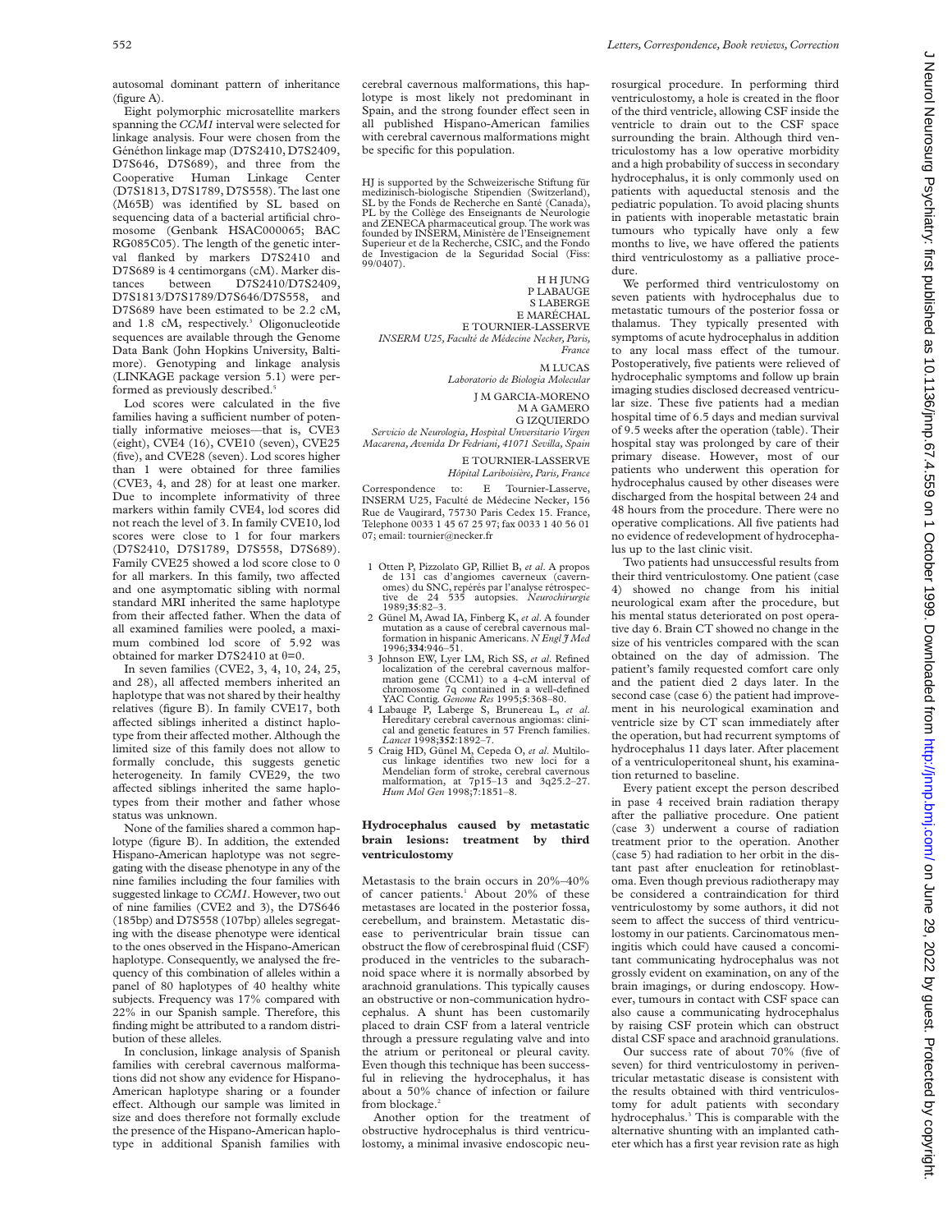autosomal dominant pattern of inheritance (figure A).

Eight polymorphic microsatellite markers spanning the *CCM1* interval were selected for linkage analysis. Four were chosen from the Généthon linkage map (D7S2410, D7S2409, D7S646, D7S689), and three from the Cooperative Human Linkage Center (D7S1813, D7S1789, D7S558). The last one (M65B) was identified by SL based on sequencing data of a bacterial artificial chromosome (Genbank HSAC000065; BAC RG085C05). The length of the genetic interval flanked by markers D7S2410 and D7S689 is 4 centimorgans (cM). Marker distances between D7S2410/D7S2409, D7S1813/D7S1789/D7S646/D7S558, and D7S689 have been estimated to be 2.2 cM, and 1.8 cM, respectively.<sup>3</sup> Oligonucleotide sequences are available through the Genome Data Bank (John Hopkins University, Baltimore). Genotyping and linkage analysis (LINKAGE package version 5.1) were performed as previously described.<sup>5</sup>

Lod scores were calculated in the five families having a sufficient number of potentially informative meioses—that is, CVE3 (eight), CVE4 (16), CVE10 (seven), CVE25 (five), and CVE28 (seven). Lod scores higher than 1 were obtained for three families (CVE3, 4, and 28) for at least one marker. Due to incomplete informativity of three markers within family CVE4, lod scores did not reach the level of 3. In family CVE10, lod scores were close to 1 for four markers (D7S2410, D7S1789, D7S558, D7S689). Family CVE25 showed a lod score close to 0 for all markers. In this family, two affected and one asymptomatic sibling with normal standard MRI inherited the same haplotype from their affected father. When the data of all examined families were pooled, a maximum combined lod score of 5.92 was obtained for marker D7S2410 at  $\theta$ =0.

In seven families (CVE2, 3, 4, 10, 24, 25, and 28), all affected members inherited an haplotype that was not shared by their healthy relatives (figure B). In family CVE17, both affected siblings inherited a distinct haplotype from their affected mother. Although the limited size of this family does not allow to formally conclude, this suggests genetic heterogeneity. In family CVE29, the two affected siblings inherited the same haplotypes from their mother and father whose status was unknown.

None of the families shared a common haplotype (figure B). In addition, the extended Hispano-American haplotype was not segregating with the disease phenotype in any of the nine families including the four families with suggested linkage to *CCM1*. However, two out of nine families (CVE2 and 3), the D7S646 (185bp) and D7S558 (107bp) alleles segregating with the disease phenotype were identical to the ones observed in the Hispano-American haplotype. Consequently, we analysed the frequency of this combination of alleles within a panel of 80 haplotypes of 40 healthy white subjects. Frequency was 17% compared with 22% in our Spanish sample. Therefore, this finding might be attributed to a random distribution of these alleles.

In conclusion, linkage analysis of Spanish families with cerebral cavernous malformations did not show any evidence for Hispano-American haplotype sharing or a founder effect. Although our sample was limited in size and does therefore not formally exclude the presence of the Hispano-American haplotype in additional Spanish families with cerebral cavernous malformations, this haplotype is most likely not predominant in Spain, and the strong founder effect seen in all published Hispano-American families with cerebral cavernous malformations might be specific for this population.

HJ is supported by the Schweizerische Stiftung für medizinisch-biologische Stipendien (Switzerland), SL by the Fonds de Recherche en Santé (Canada), PL by the Collège des Enseignants de Neurologie and ZENECA pharmaceutical group. The work was founded by INSERM, Ministère de l'Enseignement Superieur et de la Recherche, CSIC, and the Fondo de Investigacion de la Seguridad Social (Fiss: 99/0407).

H H JUNG P LABAUGE S LABERGE E MARÉCHAL E TOURNIER-LASSERVE *INSERM U25, Faculté de Médecine Necker, Paris, France* M LUCAS *Laboratorio de Biologia Molecular* J M GARCIA-MORENO M A GAMERO G IZQUIERDO *Servicio de Neurologia, Hospital Unversitario Virgen Macarena, Avenida Dr Fedriani, 41071 Sevilla, Spain*

E TOURNIER-LASSERVE *Hôpital Lariboisière, Paris, France*

Correspondence to: E Tournier-Lasserve, INSERM U25, Faculté de Médecine Necker, 156 Rue de Vaugirard, 75730 Paris Cedex 15. France, Telephone 0033 1 45 67 25 97; fax 0033 1 40 56 01 07; email: tournier@necker.fr

- 1 Otten P, Pizzolato GP, Rilliet B, *et al*. A propos de 131 cas d'angiomes caverneux (cavernomes) du SNC, repérés par l'analyse rétrospective de 24 535 autopsies. *Neurochirurgie* 1989;**35**:82–3.
- 2 Günel M, Awad IA, Finberg K, *et al*. A founder mutation as a cause of cerebral cavernous malformation in hispanic Americans. *N Engl J Med* 1996;**334**:946–51.
- 3 Johnson EW, Lyer LM, Rich SS, *et al*. Refined localization of the cerebral cavernous malformation gene (CCM1) to a 4-cM interval of chromosome 7q contained in a well-defined
- YAC Contig*. Genome Res* 1995;**5**:368–80. 4 Labauge P, Laberge S, Brunereau L, *et al*. Hereditary cerebral cavernous angiomas: clinical and genetic features in 57 French families. *Lancet* 1998;**352**:1892–7.
- 5 Craig HD, Günel M, Cepeda O, *et al*. Multilo-cus linkage identifies two new loci for a Mendelian form of stroke, cerebral cavernous malformation, at 7p15–13 and 3q25.2–27. *Hum Mol Gen* 1998;**7**:1851–8.

## **Hydrocephalus caused by metastatic brain lesions: treatment by third ventriculostomy**

Metastasis to the brain occurs in 20%–40% of cancer patients.<sup>1</sup> About 20% of these metastases are located in the posterior fossa, cerebellum, and brainstem. Metastatic disease to periventricular brain tissue can obstruct the flow of cerebrospinal fluid (CSF) produced in the ventricles to the subarachnoid space where it is normally absorbed by arachnoid granulations. This typically causes an obstructive or non-communication hydrocephalus. A shunt has been customarily placed to drain CSF from a lateral ventricle through a pressure regulating valve and into the atrium or peritoneal or pleural cavity. Even though this technique has been successful in relieving the hydrocephalus, it has about a 50% chance of infection or failure from blockage.<sup>2</sup>

Another option for the treatment of obstructive hydrocephalus is third ventriculostomy, a minimal invasive endoscopic neurosurgical procedure. In performing third ventriculostomy, a hole is created in the floor of the third ventricle, allowing CSF inside the ventricle to drain out to the CSF space surrounding the brain. Although third ventriculostomy has a low operative morbidity and a high probability of success in secondary hydrocephalus, it is only commonly used on patients with aqueductal stenosis and the pediatric population. To avoid placing shunts in patients with inoperable metastatic brain tumours who typically have only a few months to live, we have offered the patients third ventriculostomy as a palliative procedure.

We performed third ventriculostomy on seven patients with hydrocephalus due to metastatic tumours of the posterior fossa or thalamus. They typically presented with symptoms of acute hydrocephalus in addition to any local mass effect of the tumour. Postoperatively, five patients were relieved of hydrocephalic symptoms and follow up brain imaging studies disclosed decreased ventricular size. These five patients had a median hospital time of 6.5 days and median survival of 9.5 weeks after the operation (table). Their hospital stay was prolonged by care of their primary disease. However, most of our patients who underwent this operation for hydrocephalus caused by other diseases were discharged from the hospital between 24 and 48 hours from the procedure. There were no operative complications. All five patients had no evidence of redevelopment of hydrocephalus up to the last clinic visit.

Two patients had unsuccessful results from their third ventriculostomy. One patient (case 4) showed no change from his initial neurological exam after the procedure, but his mental status deteriorated on post operative day 6. Brain CT showed no change in the size of his ventricles compared with the scan obtained on the day of admission. The patient's family requested comfort care only and the patient died 2 days later. In the second case (case 6) the patient had improvement in his neurological examination and ventricle size by CT scan immediately after the operation, but had recurrent symptoms of hydrocephalus 11 days later. After placement of a ventriculoperitoneal shunt, his examination returned to baseline.

Every patient except the person described in pase 4 received brain radiation therapy after the palliative procedure. One patient (case 3) underwent a course of radiation treatment prior to the operation. Another (case 5) had radiation to her orbit in the distant past after enucleation for retinoblastoma. Even though previous radiotherapy may be considered a contraindication for third ventriculostomy by some authors, it did not seem to affect the success of third ventriculostomy in our patients. Carcinomatous meningitis which could have caused a concomitant communicating hydrocephalus was not grossly evident on examination, on any of the brain imagings, or during endoscopy. However, tumours in contact with CSF space can also cause a communicating hydrocephalus by raising CSF protein which can obstruct distal CSF space and arachnoid granulations.

Our success rate of about 70% (five of seven) for third ventriculostomy in periventricular metastatic disease is consistent with the results obtained with third ventriculostomy for adult patients with secondary hydrocephalus.<sup>3</sup> This is comparable with the alternative shunting with an implanted catheter which has a first year revision rate as high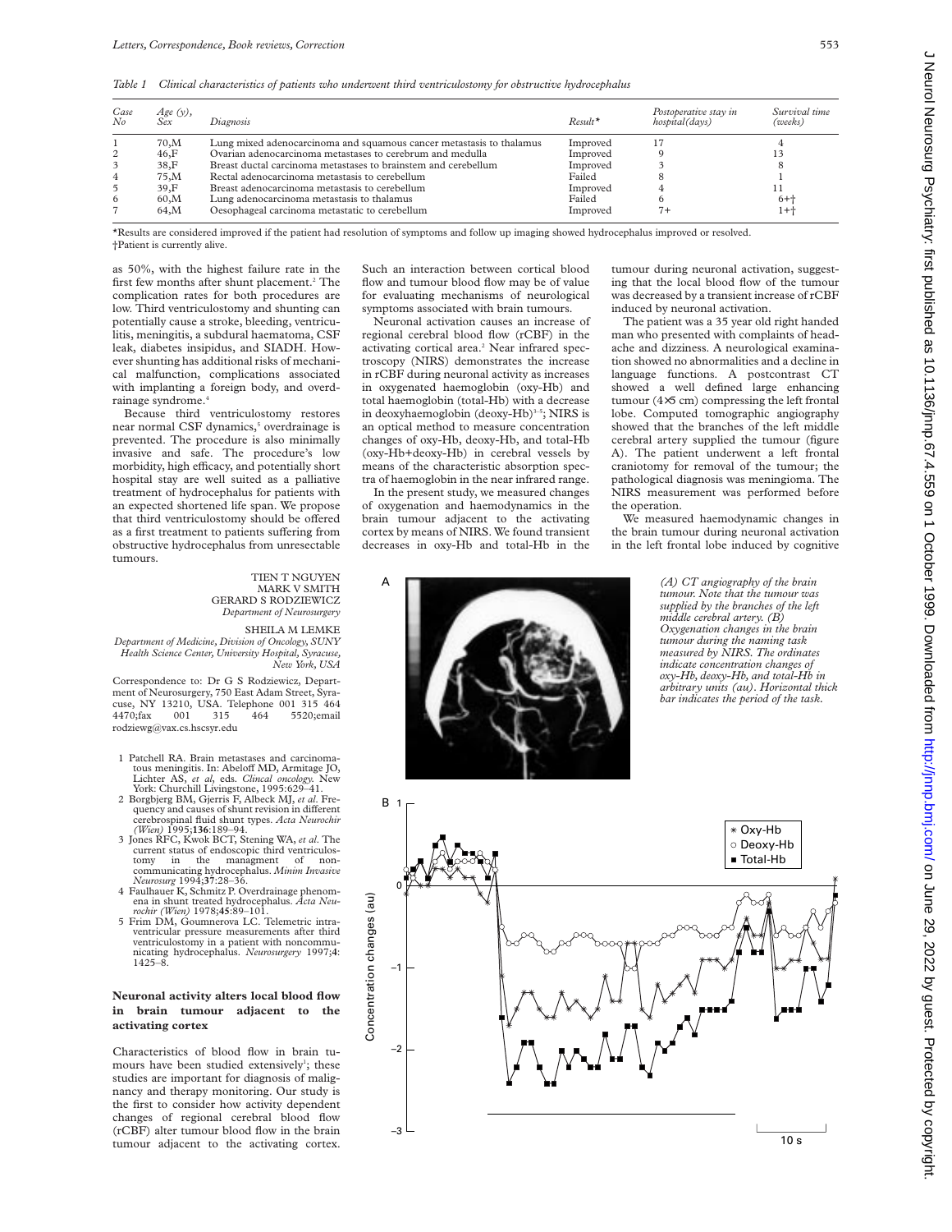*Table 1 Clinical characteristics of patients who underwent third ventriculostomy for obstructive hydrocephalus*

| Case<br>No     | $Age(y)$ ,<br>Sex | Diagnosis                                                            | $Result^*$ | Postoperative stay in<br>hospital(days) | Survival time<br>(weeks) |
|----------------|-------------------|----------------------------------------------------------------------|------------|-----------------------------------------|--------------------------|
|                | 70.M              | Lung mixed adenocarcinoma and squamous cancer metastasis to thalamus | Improved   |                                         |                          |
| 2              | 46,F              | Ovarian adenocarcinoma metastases to cerebrum and medulla            | Improved   |                                         |                          |
|                | 38.F              | Breast ductal carcinoma metastases to brainstem and cerebellum       | Improved   |                                         |                          |
| $\overline{4}$ | 75,M              | Rectal adenocarcinoma metastasis to cerebellum                       | Failed     |                                         |                          |
| $\overline{5}$ | 39.F              | Breast adenocarcinoma metastasis to cerebellum                       | Improved   |                                         |                          |
| 6              | 60, M             | Lung adenocarcinoma metastasis to thalamus                           | Failed     |                                         | $6 + +$                  |
|                | 64,M              | Oesophageal carcinoma metastatic to cerebellum                       | Improved   |                                         | $1 + +$                  |

\*Results are considered improved if the patient had resolution of symptoms and follow up imaging showed hydrocephalus improved or resolved. †Patient is currently alive.

as 50%, with the highest failure rate in the first few months after shunt placement.<sup>2</sup> The complication rates for both procedures are low. Third ventriculostomy and shunting can potentially cause a stroke, bleeding, ventriculitis, meningitis, a subdural haematoma, CSF leak, diabetes insipidus, and SIADH. However shunting has additional risks of mechanical malfunction, complications associated with implanting a foreign body, and overdrainage syndrome.<sup>4</sup>

Because third ventriculostomy restores near normal CSF dynamics,<sup>5</sup> overdrainage is prevented. The procedure is also minimally invasive and safe. The procedure's low morbidity, high efficacy, and potentially short hospital stay are well suited as a palliative treatment of hydrocephalus for patients with an expected shortened life span. We propose that third ventriculostomy should be offered as a first treatment to patients suffering from obstructive hydrocephalus from unresectable tumours.

> TIEN T NGUYEN MARK V SMITH GERARD S RODZIEWICZ *Department of Neurosurgery*

> > SHEILA M LEMKE

*Department of Medicine, Division of Oncology, SUNY Health Science Center, University Hospital, Syracuse, New York, USA*

Correspondence to: Dr G S Rodziewicz, Department of Neurosurgery, 750 East Adam Street, Syracuse, NY 13210, USA. Telephone 001 315 464 4470;fax 001 315 464 5520;email rodziewg@vax.cs.hscsyr.edu

- 1 Patchell RA. Brain metastases and carcinomatous meningitis. In: AbeloV MD, Armitage JO, Lichter AS, *et al*, eds*. Clincal oncology.* New York: Churchill Livingstone, 1995:629–41.
- 2 Borgbjerg BM, Gjerris F, Albeck MJ, *et al*. Frequency and causes of shunt revision in different cerebrospinal fluid shunt types. *Acta Neurochir (Wien)* 1995;**136**:189–94.
- 3 Jones RFC, Kwok BCT, Stening WA, *et al*. The current status of endoscopic third ventriculos-tomy in the managment of noncommunicating hydrocephalus. *Minim Invasive Neurosurg* 1994;**37**:28–36.
- 4 Faulhauer K, Schmitz P. Overdrainage phenom-ena in shunt treated hydrocephalus. *Acta Neurochir (Wien)* 1978;**45**:89–101. 5 Frim DM, Goumnerova LC. Telemetric intra-
- ventricular pressure measurements after third ventriculostomy in a patient with noncommu-nicating hydrocephalus. *Neurosurgery* 1997;**4**: 1425–8.

## **Neuronal activity alters local blood flow in brain tumour adjacent to the activating cortex**

Characteristics of blood flow in brain tumours have been studied extensively<sup>1</sup>; these studies are important for diagnosis of malignancy and therapy monitoring. Our study is the first to consider how activity dependent changes of regional cerebral blood flow (rCBF) alter tumour blood flow in the brain tumour adjacent to the activating cortex.

Such an interaction between cortical blood flow and tumour blood flow may be of value for evaluating mechanisms of neurological symptoms associated with brain tumours.

Neuronal activation causes an increase of regional cerebral blood flow (rCBF) in the activating cortical area.<sup>2</sup> Near infrared spectroscopy (NIRS) demonstrates the increase in rCBF during neuronal activity as increases in oxygenated haemoglobin (oxy-Hb) and total haemoglobin (total-Hb) with a decrease in deoxyhaemoglobin (deoxy-Hb) $3-5$ ; NIRS is an optical method to measure concentration changes of oxy-Hb, deoxy-Hb, and total-Hb (oxy-Hb+deoxy-Hb) in cerebral vessels by means of the characteristic absorption spectra of haemoglobin in the near infrared range.

In the present study, we measured changes of oxygenation and haemodynamics in the brain tumour adjacent to the activating cortex by means of NIRS. We found transient decreases in oxy-Hb and total-Hb in the

tumour during neuronal activation, suggesting that the local blood flow of the tumour was decreased by a transient increase of rCBF induced by neuronal activation.

The patient was a 35 year old right handed man who presented with complaints of headache and dizziness. A neurological examination showed no abnormalities and a decline in language functions. A postcontrast CT showed a well defined large enhancing tumour (4×5 cm) compressing the left frontal lobe. Computed tomographic angiography showed that the branches of the left middle cerebral artery supplied the tumour (figure A). The patient underwent a left frontal craniotomy for removal of the tumour; the pathological diagnosis was meningioma. The NIRS measurement was performed before the operation.

We measured haemodynamic changes in the brain tumour during neuronal activation in the left frontal lobe induced by cognitive

A *(A) CT angiography of the brain tumour. Note that the tumour was supplied by the branches of the left middle cerebral artery. (B) Oxygenation changes in the brain tumour during the naming task measured by NIRS. The ordinates indicate concentration changes of oxy-Hb, deoxy-Hb, and total-Hb in arbitrary units (au). Horizontal thick bar indicates the period of the task.*

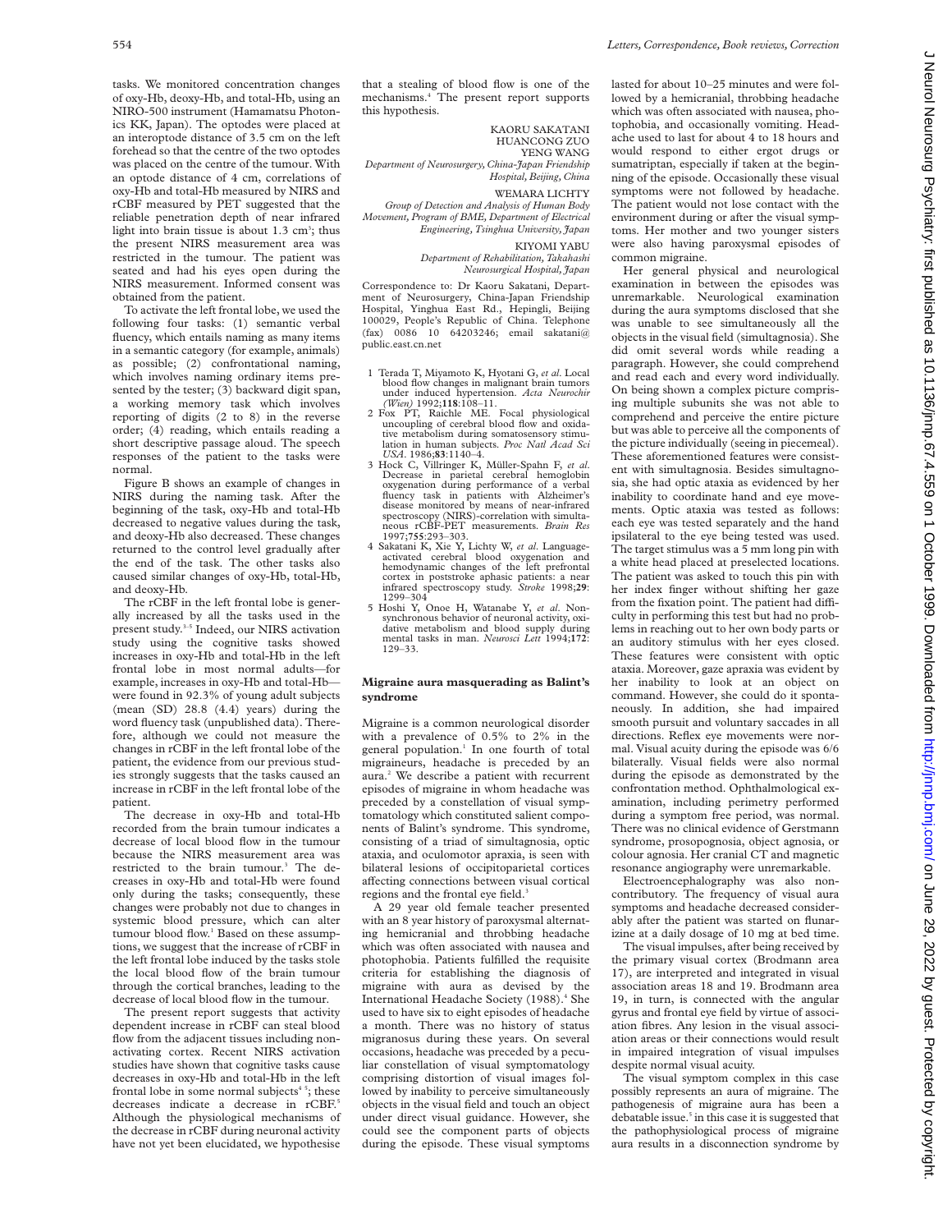tasks. We monitored concentration changes of oxy-Hb, deoxy-Hb, and total-Hb, using an NIRO-500 instrument (Hamamatsu Photonics KK, Japan). The optodes were placed at an interoptode distance of 3.5 cm on the left forehead so that the centre of the two optodes was placed on the centre of the tumour. With an optode distance of 4 cm, correlations of oxy-Hb and total-Hb measured by NIRS and rCBF measured by PET suggested that the reliable penetration depth of near infrared light into brain tissue is about  $1.3 \text{ cm}^3$ ; thus the present NIRS measurement area was restricted in the tumour. The patient was seated and had his eyes open during the NIRS measurement. Informed consent was obtained from the patient.

To activate the left frontal lobe, we used the following four tasks: (1) semantic verbal fluency, which entails naming as many items in a semantic category (for example, animals) as possible; (2) confrontational naming, which involves naming ordinary items presented by the tester; (3) backward digit span, a working memory task which involves reporting of digits (2 to 8) in the reverse order; (4) reading, which entails reading a short descriptive passage aloud. The speech responses of the patient to the tasks were normal.

Figure B shows an example of changes in NIRS during the naming task. After the beginning of the task, oxy-Hb and total-Hb decreased to negative values during the task, and deoxy-Hb also decreased. These changes returned to the control level gradually after the end of the task. The other tasks also caused similar changes of oxy-Hb, total-Hb, and deoxy-Hb.

The rCBF in the left frontal lobe is generally increased by all the tasks used in the present study.<sup>3-5</sup> Indeed, our NIRS activation study using the cognitive tasks showed increases in oxy-Hb and total-Hb in the left frontal lobe in most normal adults—for example, increases in oxy-Hb and total-Hb were found in 92.3% of young adult subjects (mean (SD) 28.8 (4.4) years) during the word fluency task (unpublished data). Therefore, although we could not measure the changes in rCBF in the left frontal lobe of the patient, the evidence from our previous studies strongly suggests that the tasks caused an increase in rCBF in the left frontal lobe of the patient.

The decrease in oxy-Hb and total-Hb recorded from the brain tumour indicates a decrease of local blood flow in the tumour because the NIRS measurement area was restricted to the brain tumour.<sup>3</sup> The decreases in oxy-Hb and total-Hb were found only during the tasks; consequently, these changes were probably not due to changes in systemic blood pressure, which can alter tumour blood flow.<sup>1</sup> Based on these assumptions, we suggest that the increase of rCBF in the left frontal lobe induced by the tasks stole the local blood flow of the brain tumour through the cortical branches, leading to the decrease of local blood flow in the tumour.

The present report suggests that activity dependent increase in rCBF can steal blood flow from the adjacent tissues including nonactivating cortex. Recent NIRS activation studies have shown that cognitive tasks cause decreases in oxy-Hb and total-Hb in the left frontal lobe in some normal subjects<sup> $4.5$ </sup>; these decreases indicate a decrease in rCBF.<sup>5</sup> Although the physiological mechanisms of the decrease in rCBF during neuronal activity have not yet been elucidated, we hypothesise that a stealing of blood flow is one of the mechanisms.<sup>4</sup> The present report supports this hypothesis.

KAORU SAKATANI HUANCONG ZUO YENG WANG *Department of Neurosurgery, China-Japan Friendship Hospital, Beijing, China*

WEMARA LICHTY

*Group of Detection and Analysis of Human Body Movement, Program of BME, Department of Electrical Engineering, Tsinghua University, Japan*

> KIYOMI YABU *Department of Rehabilitation, Takahashi Neurosurgical Hospital, Japan*

Correspondence to: Dr Kaoru Sakatani, Department of Neurosurgery, China-Japan Friendship Hospital, Yinghua East Rd., Hepingli, Beijing 100029, People's Republic of China. Telephone (fax) 0086 10 64203246; email sakatani@ public.east.cn.net

- 1 Terada T, Miyamoto K, Hyotani G, *et al*. Local blood flow changes in malignant brain tumors under induced hypertension. *Acta Neurochir (Wien)* 1992;**118**:108–11.
- 2 Fox PT, Raichle ME. Focal physiological uncoupling of cerebral blood flow and oxidative metabolism during somatosensory stimulation in human subjects. *Proc Natl Acad Sci*
- *USA*. 1986;**83**:1140–4. 3 Hock C, Villringer K, Müller-Spahn F, *et al*. Decrease in parietal cerebral hemoglobin oxygenation during performance of a verbal fluency task in patients with Alzheimer's disease monitored by means of near-infrared spectroscopy (NIRS)-correlation with simulta-neous rCBF-PET measurements. *Brain Res* 1997;**755**:293–303. 4 Sakatani K, Xie Y, Lichty W, *et al*. Language-
- activated cerebral blood oxygenation and hemodynamic changes of the left prefrontal cortex in poststroke aphasic patients: a near infrared spectroscopy study. *Stroke* 1998;**29**: 1299–304
- 5 Hoshi Y, Onoe H, Watanabe Y, *et al*. Nonsynchronous behavior of neuronal activity, oxi-dative metabolism and blood supply during mental tasks in man. *Neurosci Lett* 1994;**172**: 129–33.

## **Migraine aura masquerading as Balint's syndrome**

Migraine is a common neurological disorder with a prevalence of 0.5% to 2% in the general population.<sup>1</sup> In one fourth of total migraineurs, headache is preceded by an aura.<sup>2</sup> We describe a patient with recurrent episodes of migraine in whom headache was preceded by a constellation of visual symptomatology which constituted salient components of Balint's syndrome. This syndrome, consisting of a triad of simultagnosia, optic ataxia, and oculomotor apraxia, is seen with bilateral lesions of occipitoparietal cortices affecting connections between visual cortical regions and the frontal eye field.<sup>3</sup>

A 29 year old female teacher presented with an 8 year history of paroxysmal alternating hemicranial and throbbing headache which was often associated with nausea and photophobia. Patients fulfilled the requisite criteria for establishing the diagnosis of migraine with aura as devised by the International Headache Society (1988).<sup>4</sup> She used to have six to eight episodes of headache a month. There was no history of status migranosus during these years. On several occasions, headache was preceded by a peculiar constellation of visual symptomatology comprising distortion of visual images followed by inability to perceive simultaneously objects in the visual field and touch an object under direct visual guidance. However, she could see the component parts of objects during the episode. These visual symptoms

lasted for about 10–25 minutes and were followed by a hemicranial, throbbing headache which was often associated with nausea, photophobia, and occasionally vomiting. Headache used to last for about 4 to 18 hours and would respond to either ergot drugs or sumatriptan, especially if taken at the beginning of the episode. Occasionally these visual symptoms were not followed by headache. The patient would not lose contact with the environment during or after the visual symptoms. Her mother and two younger sisters were also having paroxysmal episodes of common migraine.

Her general physical and neurological examination in between the episodes was unremarkable. Neurological examination during the aura symptoms disclosed that she was unable to see simultaneously all the objects in the visual field (simultagnosia). She did omit several words while reading a paragraph. However, she could comprehend and read each and every word individually. On being shown a complex picture comprising multiple subunits she was not able to comprehend and perceive the entire picture but was able to perceive all the components of the picture individually (seeing in piecemeal). These aforementioned features were consistent with simultagnosia. Besides simultagnosia, she had optic ataxia as evidenced by her inability to coordinate hand and eye movements. Optic ataxia was tested as follows: each eye was tested separately and the hand ipsilateral to the eye being tested was used. The target stimulus was a 5 mm long pin with a white head placed at preselected locations. The patient was asked to touch this pin with her index finger without shifting her gaze from the fixation point. The patient had difficulty in performing this test but had no problems in reaching out to her own body parts or an auditory stimulus with her eyes closed. These features were consistent with optic ataxia. Moreover, gaze apraxia was evident by her inability to look at an object on command. However, she could do it spontaneously. In addition, she had impaired smooth pursuit and voluntary saccades in all directions. Reflex eye movements were normal. Visual acuity during the episode was 6/6 bilaterally. Visual fields were also normal during the episode as demonstrated by the confrontation method. Ophthalmological examination, including perimetry performed during a symptom free period, was normal. There was no clinical evidence of Gerstmann syndrome, prosopognosia, object agnosia, or colour agnosia. Her cranial CT and magnetic resonance angiography were unremarkable.

Electroencephalography was also noncontributory. The frequency of visual aura symptoms and headache decreased considerably after the patient was started on flunarizine at a daily dosage of 10 mg at bed time.

The visual impulses, after being received by the primary visual cortex (Brodmann area 17), are interpreted and integrated in visual association areas 18 and 19. Brodmann area 19, in turn, is connected with the angular gyrus and frontal eye field by virtue of association fibres. Any lesion in the visual association areas or their connections would result in impaired integration of visual impulses despite normal visual acuity.

The visual symptom complex in this case possibly represents an aura of migraine. The pathogenesis of migraine aura has been a debatable issue.<sup>5</sup> in this case it is suggested that the pathophysiological process of migraine aura results in a disconnection syndrome by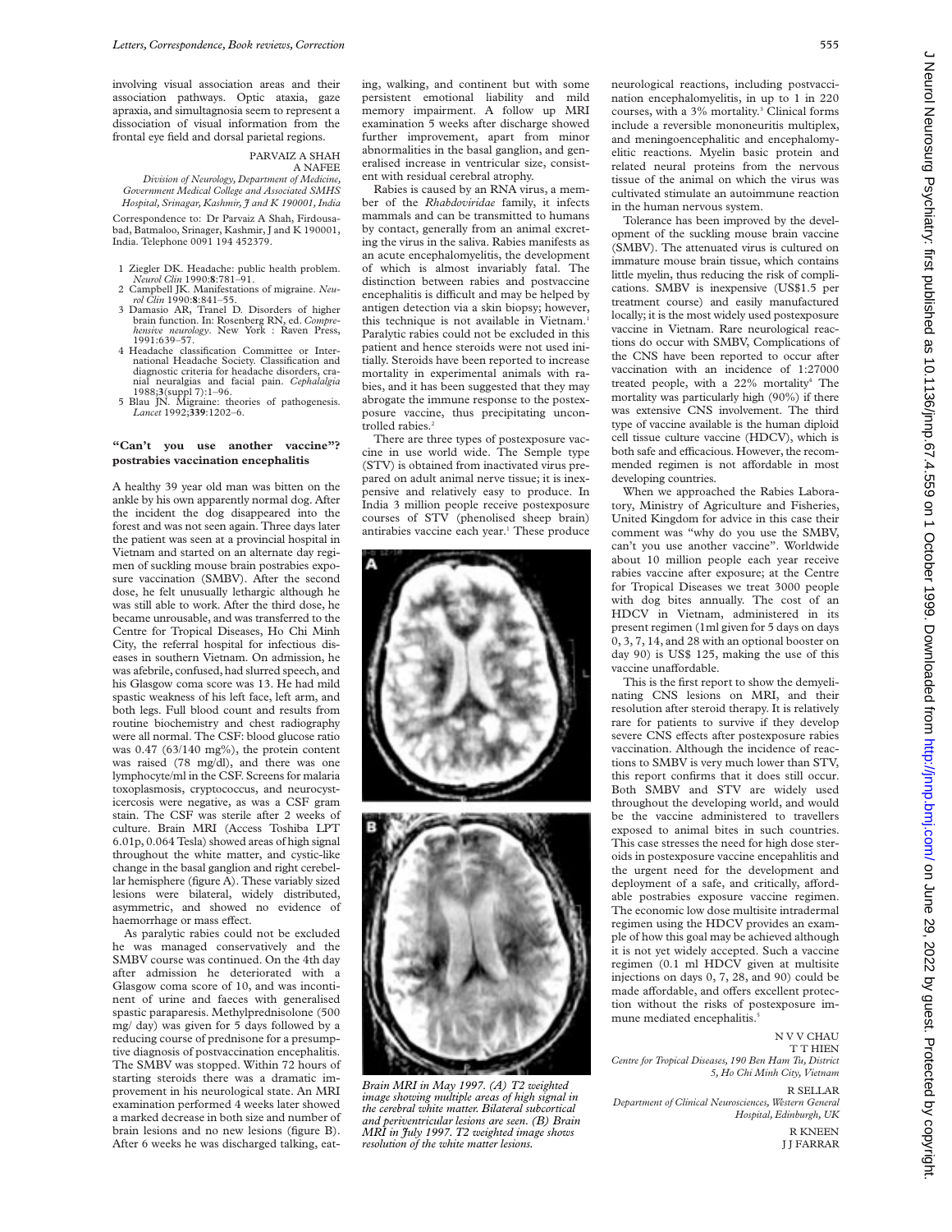involving visual association areas and their association pathways. Optic ataxia, gaze apraxia, and simultagnosia seem to represent a dissociation of visual information from the frontal eye field and dorsal parietal regions.

#### PARVAIZ A SHAH A NAFEE

*Division of Neurology, Department of Medicine, Government Medical College and Associated SMHS Hospital, Srinagar, Kashmir, J and K 190001, India*

Correspondence to: Dr Parvaiz A Shah, Firdousabad, Batmaloo, Srinager, Kashmir, J and K 190001, India. Telephone 0091 194 452379.

- 1 Ziegler DK. Headache: public health problem.<br>Neurol Clin 1990:8:781-91.
- *Neurol Clin* 1990:**8**:781–91. 2 Campbell JK. Manifestations of migraine. *Neurol Clin* 1990:**8**:841–55.
- 3 Damasio AR, Tranel D. Disorders of higher brain function. In: Rosenberg RN, ed. *Compre-hensive neurology*. New York : Raven Press, 1991:639–57.
- 4 Headache classification Committee or Inter-national Headache Society. Classification and diagnostic criteria for headache disorders, cranial neuralgias and facial pain. *Cephalalgia*
- 1988;**3**(suppl 7):1–96. 5 Blau JN. Migraine: theories of pathogenesis. *Lancet* 1992;**339**:1202–6.

## **"Can't you use another vaccine"? postrabies vaccination encephalitis**

A healthy 39 year old man was bitten on the ankle by his own apparently normal dog. After the incident the dog disappeared into the forest and was not seen again. Three days later the patient was seen at a provincial hospital in Vietnam and started on an alternate day regimen of suckling mouse brain postrabies exposure vaccination (SMBV). After the second dose, he felt unusually lethargic although he was still able to work. After the third dose, he became unrousable, and was transferred to the Centre for Tropical Diseases, Ho Chi Minh City, the referral hospital for infectious diseases in southern Vietnam. On admission, he was afebrile, confused, had slurred speech, and his Glasgow coma score was 13. He had mild spastic weakness of his left face, left arm, and both legs. Full blood count and results from routine biochemistry and chest radiography were all normal. The CSF: blood glucose ratio was 0.47 (63/140 mg%), the protein content was raised (78 mg/dl), and there was one lymphocyte/ml in the CSF. Screens for malaria toxoplasmosis, cryptococcus, and neurocysticercosis were negative, as was a CSF gram stain. The CSF was sterile after 2 weeks of culture. Brain MRI (Access Toshiba LPT 6.01p, 0.064 Tesla) showed areas of high signal throughout the white matter, and cystic-like change in the basal ganglion and right cerebellar hemisphere (figure A). These variably sized lesions were bilateral, widely distributed, asymmetric, and showed no evidence of haemorrhage or mass effect.

As paralytic rabies could not be excluded he was managed conservatively and the SMBV course was continued. On the 4th day after admission he deteriorated with a Glasgow coma score of 10, and was incontinent of urine and faeces with generalised spastic paraparesis. Methylprednisolone (500 mg/ day) was given for 5 days followed by a reducing course of prednisone for a presumptive diagnosis of postvaccination encephalitis. The SMBV was stopped. Within 72 hours of starting steroids there was a dramatic improvement in his neurological state. An MRI examination performed 4 weeks later showed a marked decrease in both size and number of brain lesions and no new lesions (figure B). After 6 weeks he was discharged talking, eating, walking, and continent but with some persistent emotional liability and mild memory impairment. A follow up MRI examination 5 weeks after discharge showed further improvement, apart from minor abnormalities in the basal ganglion, and generalised increase in ventricular size, consistent with residual cerebral atrophy.

Rabies is caused by an RNA virus, a member of the *Rhabdoviridae* family, it infects mammals and can be transmitted to humans by contact, generally from an animal excreting the virus in the saliva. Rabies manifests as an acute encephalomyelitis, the development of which is almost invariably fatal. The distinction between rabies and postvaccine encephalitis is difficult and may be helped by antigen detection via a skin biopsy; however, this technique is not available in Vietnam.<sup>1</sup> Paralytic rabies could not be excluded in this patient and hence steroids were not used initially. Steroids have been reported to increase mortality in experimental animals with rabies, and it has been suggested that they may abrogate the immune response to the postexposure vaccine, thus precipitating uncontrolled rabies.<sup>2</sup>

There are three types of postexposure vaccine in use world wide. The Semple type (STV) is obtained from inactivated virus prepared on adult animal nerve tissue; it is inexpensive and relatively easy to produce. In India 3 million people receive postexposure courses of STV (phenolised sheep brain) antirabies vaccine each year.<sup>1</sup> These produce



*Brain MRI in May 1997. (A) T2 weighted image showing multiple areas of high signal in the cerebral white matter. Bilateral subcortical and periventricular lesions are seen. (B) Brain MRI in July 1997. T2 weighted image shows resolution of the white matter lesions.*

neurological reactions, including postvaccination encephalomyelitis, in up to 1 in 220 courses, with a 3% mortality.<sup>3</sup> Clinical forms include a reversible mononeuritis multiplex, and meningoencephalitic and encephalomyelitic reactions. Myelin basic protein and related neural proteins from the nervous tissue of the animal on which the virus was cultivated stimulate an autoimmune reaction in the human nervous system.

Tolerance has been improved by the development of the suckling mouse brain vaccine (SMBV). The attenuated virus is cultured on immature mouse brain tissue, which contains little myelin, thus reducing the risk of complications. SMBV is inexpensive (US\$1.5 per treatment course) and easily manufactured locally; it is the most widely used postexposure vaccine in Vietnam. Rare neurological reactions do occur with SMBV, Complications of the CNS have been reported to occur after vaccination with an incidence of 1:27000 treated people, with a 22% mortality<sup>4</sup> The mortality was particularly high (90%) if there was extensive CNS involvement. The third type of vaccine available is the human diploid cell tissue culture vaccine (HDCV), which is both safe and efficacious. However, the recommended regimen is not affordable in most developing countries.

When we approached the Rabies Laboratory, Ministry of Agriculture and Fisheries, United Kingdom for advice in this case their comment was "why do you use the SMBV, can't you use another vaccine". Worldwide about 10 million people each year receive rabies vaccine after exposure; at the Centre for Tropical Diseases we treat 3000 people with dog bites annually. The cost of an HDCV in Vietnam, administered in its present regimen (1ml given for 5 days on days 0, 3, 7, 14, and 28 with an optional booster on day 90) is US\$ 125, making the use of this vaccine unaffordable.

This is the first report to show the demyelinating CNS lesions on MRI, and their resolution after steroid therapy. It is relatively rare for patients to survive if they develop severe CNS effects after postexposure rabies vaccination. Although the incidence of reactions to SMBV is very much lower than STV, this report confirms that it does still occur. Both SMBV and STV are widely used throughout the developing world, and would be the vaccine administered to travellers exposed to animal bites in such countries. This case stresses the need for high dose steroids in postexposure vaccine encepahlitis and the urgent need for the development and deployment of a safe, and critically, affordable postrabies exposure vaccine regimen. The economic low dose multisite intradermal regimen using the HDCV provides an example of how this goal may be achieved although it is not yet widely accepted. Such a vaccine regimen (0.1 ml HDCV given at multisite injections on days 0, 7, 28, and 90) could be made affordable, and offers excellent protection without the risks of postexposure immune mediated encephalitis.<sup>5</sup>

# N V V CHAU

T T HIEN *Centre for Tropical Diseases, 190 Ben Ham Tu, District 5, Ho Chi Minh City, Vietnam*

#### R SELLAR

*Department of Clinical Neurosciences, Western General Hospital, Edinburgh, UK*

> R KNEEN J J FARRAR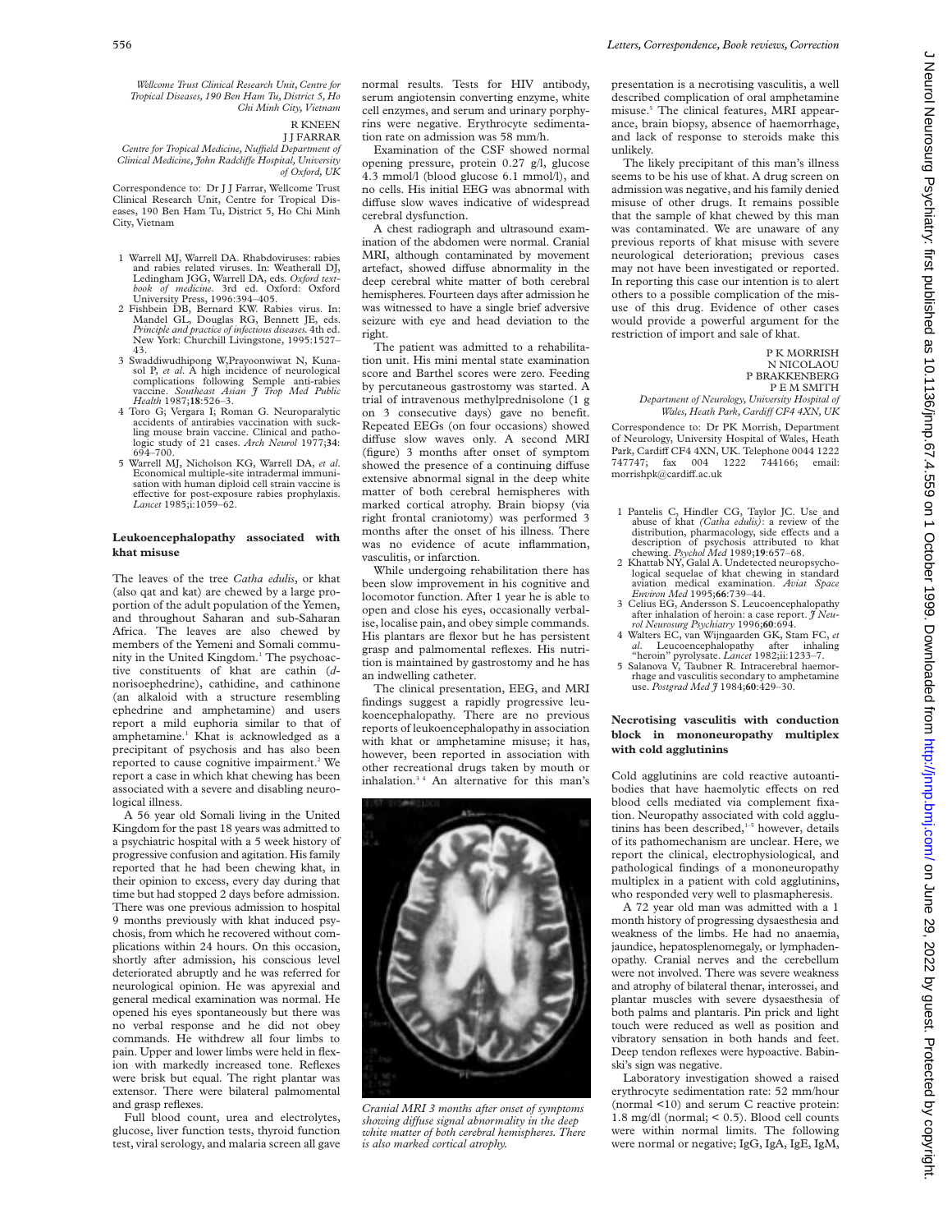*Wellcome Trust Clinical Research Unit, Centre for Tropical Diseases, 190 Ben Ham Tu, District 5, Ho Chi Minh City, Vietnam*

#### R KNEEN J J FARRAR

*Centre for Tropical Medicine, NuYeld Department of Clinical Medicine, John RadcliVe Hospital, University of Oxford, UK*

Correspondence to: Dr J J Farrar, Wellcome Trust Clinical Research Unit, Centre for Tropical Diseases, 190 Ben Ham Tu, District 5, Ho Chi Minh City, Vietnam

- 1 Warrell MJ, Warrell DA. Rhabdoviruses: rabies and rabies related viruses. In: Weatherall DJ, Ledingham JGG, Warrell DA, eds. *Oxford text-book of medicine.* 3rd ed. Oxford: Oxford University Press, 1996:394-405.
- 2 Fishbein DB, Bernard KW. Rabies virus. In: Mandel GL, Douglas RG, Bennett JE, eds. *Principle and practice of infectious diseases.*4th ed. New York: Churchill Livingstone, 1995:1527– 43.
- 3 Swaddiwudhipong W,Prayoonwiwat N, Kunasol P, *et al*. A high incidence of neurological complications following Semple anti-rabies vaccine. *Southeast Asian J Trop Med Public Health* 1987;**18**:526–3.
- 4 Toro G; Vergara I; Roman G. Neuroparalytic accidents of antirabies vaccination with suckling mouse brain vaccine. Clinical and patho-logic study of 21 cases. *Arch Neurol* 1977;**34**: 694–700.
- 5 Warrell MJ, Nicholson KG, Warrell DA, *et al*. Economical multiple-site intradermal immunisation with human diploid cell strain vaccine is effective for post-exposure rabies prophylaxis.<br>Lancet 1985;i:1059–62.

## **Leukoencephalopathy associated with khat misuse**

The leaves of the tree *Catha edulis*, or khat (also qat and kat) are chewed by a large proportion of the adult population of the Yemen, and throughout Saharan and sub-Saharan Africa. The leaves are also chewed by members of the Yemeni and Somali community in the United Kingdom.<sup>1</sup> The psychoactive constituents of khat are cathin (*d*norisoephedrine), cathidine, and cathinone (an alkaloid with a structure resembling ephedrine and amphetamine) and users report a mild euphoria similar to that of amphetamine.<sup>1</sup> Khat is acknowledged as a precipitant of psychosis and has also been reported to cause cognitive impairment.<sup>2</sup> We report a case in which khat chewing has been associated with a severe and disabling neurological illness.

A 56 year old Somali living in the United Kingdom for the past 18 years was admitted to a psychiatric hospital with a 5 week history of progressive confusion and agitation. His family reported that he had been chewing khat, in their opinion to excess, every day during that time but had stopped 2 days before admission. There was one previous admission to hospital 9 months previously with khat induced psychosis, from which he recovered without complications within 24 hours. On this occasion, shortly after admission, his conscious level deteriorated abruptly and he was referred for neurological opinion. He was apyrexial and general medical examination was normal. He opened his eyes spontaneously but there was no verbal response and he did not obey commands. He withdrew all four limbs to pain. Upper and lower limbs were held in flexion with markedly increased tone. Reflexes were brisk but equal. The right plantar was extensor. There were bilateral palmomental and grasp reflexes.

Full blood count, urea and electrolytes, glucose, liver function tests, thyroid function test, viral serology, and malaria screen all gave normal results. Tests for HIV antibody, serum angiotensin converting enzyme, white cell enzymes, and serum and urinary porphyrins were negative. Erythrocyte sedimentation rate on admission was 58 mm/h.

Examination of the CSF showed normal opening pressure, protein 0.27 g/l, glucose 4.3 mmol/l (blood glucose 6.1 mmol/l), and no cells. His initial EEG was abnormal with diffuse slow waves indicative of widespread cerebral dysfunction.

A chest radiograph and ultrasound examination of the abdomen were normal. Cranial MRI, although contaminated by movement artefact, showed diffuse abnormality in the deep cerebral white matter of both cerebral hemispheres. Fourteen days after admission he was witnessed to have a single brief adversive seizure with eye and head deviation to the right.

The patient was admitted to a rehabilitation unit. His mini mental state examination score and Barthel scores were zero. Feeding by percutaneous gastrostomy was started. A trial of intravenous methylprednisolone (1 g on 3 consecutive days) gave no benefit. Repeated EEGs (on four occasions) showed diffuse slow waves only. A second MRI (figure) 3 months after onset of symptom showed the presence of a continuing diffuse extensive abnormal signal in the deep white matter of both cerebral hemispheres with marked cortical atrophy. Brain biopsy (via right frontal craniotomy) was performed 3 months after the onset of his illness. There was no evidence of acute inflammation, vasculitis, or infarction.

While undergoing rehabilitation there has been slow improvement in his cognitive and locomotor function. After 1 year he is able to open and close his eyes, occasionally verbalise, localise pain, and obey simple commands. His plantars are flexor but he has persistent grasp and palmomental reflexes. His nutrition is maintained by gastrostomy and he has an indwelling catheter.

The clinical presentation, EEG, and MRI findings suggest a rapidly progressive leukoencephalopathy. There are no previous reports of leukoencephalopathy in association with khat or amphetamine misuse; it has, however, been reported in association with other recreational drugs taken by mouth or inhalation.3 4 An alternative for this man's



*Cranial MRI 3 months after onset of symptoms showing diVuse signal abnormality in the deep white matter of both cerebral hemispheres. There is also marked cortical atrophy.*

presentation is a necrotising vasculitis, a well described complication of oral amphetamine misuse.5 The clinical features, MRI appearance, brain biopsy, absence of haemorrhage, and lack of response to steroids make this unlikely.

The likely precipitant of this man's illness seems to be his use of khat. A drug screen on admission was negative, and his family denied misuse of other drugs. It remains possible that the sample of khat chewed by this man was contaminated. We are unaware of any previous reports of khat misuse with severe neurological deterioration; previous cases may not have been investigated or reported. In reporting this case our intention is to alert others to a possible complication of the misuse of this drug. Evidence of other cases would provide a powerful argument for the restriction of import and sale of khat.

> P K MORRISH N NICOLAOU P BRAKKENBERG P E M SMITH *Department of Neurology, University Hospital of*

> *Wales, Heath Park, CardiV CF4 4XN, UK*

Correspondence to: Dr PK Morrish, Department of Neurology, University Hospital of Wales, Heath Park, Cardiff CF4 4XN, UK. Telephone 0044 1222<br>747747; fax 004 1222 744166; email: 747747; fax 004 1222 morrishpk@cardiff.ac.uk

- 1 Pantelis C, Hindler CG, Taylor JC. Use and abuse of khat *(Catha edulis)*: a review of the distribution, pharmacology, side effects and a description of psychosis attributed to khat chewing. *Psychol Med* 1989;**19**:657–68. 2 Khattab NY, Galal A. Undetected neuropsycho-
- logical sequelae of khat chewing in standard aviation medical examination. *Aviat Space Environ Med* 1995;**66**:739–44.
- 3 Celius EG, Andersson S. Leucoencephalopathy after inhalation of heroin: a case report. *J Neu-rol Neurosurg Psychiatry* 1996;**60**:694.
- 4 Walters EC, van Wijngaarden GK, Stam FC, *et* Leucoencephalopathy after inhaling "heroin" pyrolysate. *Lancet* 1982;ii:1233–7. 5 Salanova V, Taubner R. Intracerebral haemor-
- rhage and vasculitis secondary to amphetamine use. *Postgrad Med J* 1984;**60**:429–30.

# **Necrotising vasculitis with conduction block in mononeuropathy multiplex with cold agglutinins**

Cold agglutinins are cold reactive autoantibodies that have haemolytic effects on red blood cells mediated via complement fixation. Neuropathy associated with cold agglutinins has been described,<sup>1-5</sup> however, details of its pathomechanism are unclear. Here, we report the clinical, electrophysiological, and pathological findings of a mononeuropathy multiplex in a patient with cold agglutinins, who responded very well to plasmapheresis.

A 72 year old man was admitted with a 1 month history of progressing dysaesthesia and weakness of the limbs. He had no anaemia, jaundice, hepatosplenomegaly, or lymphadenopathy. Cranial nerves and the cerebellum were not involved. There was severe weakness and atrophy of bilateral thenar, interossei, and plantar muscles with severe dysaesthesia of both palms and plantaris. Pin prick and light touch were reduced as well as position and vibratory sensation in both hands and feet. Deep tendon reflexes were hypoactive. Babinski's sign was negative.

Laboratory investigation showed a raised erythrocyte sedimentation rate: 52 mm/hour (normal <10) and serum C reactive protein: 1.8 mg/dl (normal; < 0.5). Blood cell counts were within normal limits. The following were normal or negative; IgG, IgA, IgE, IgM,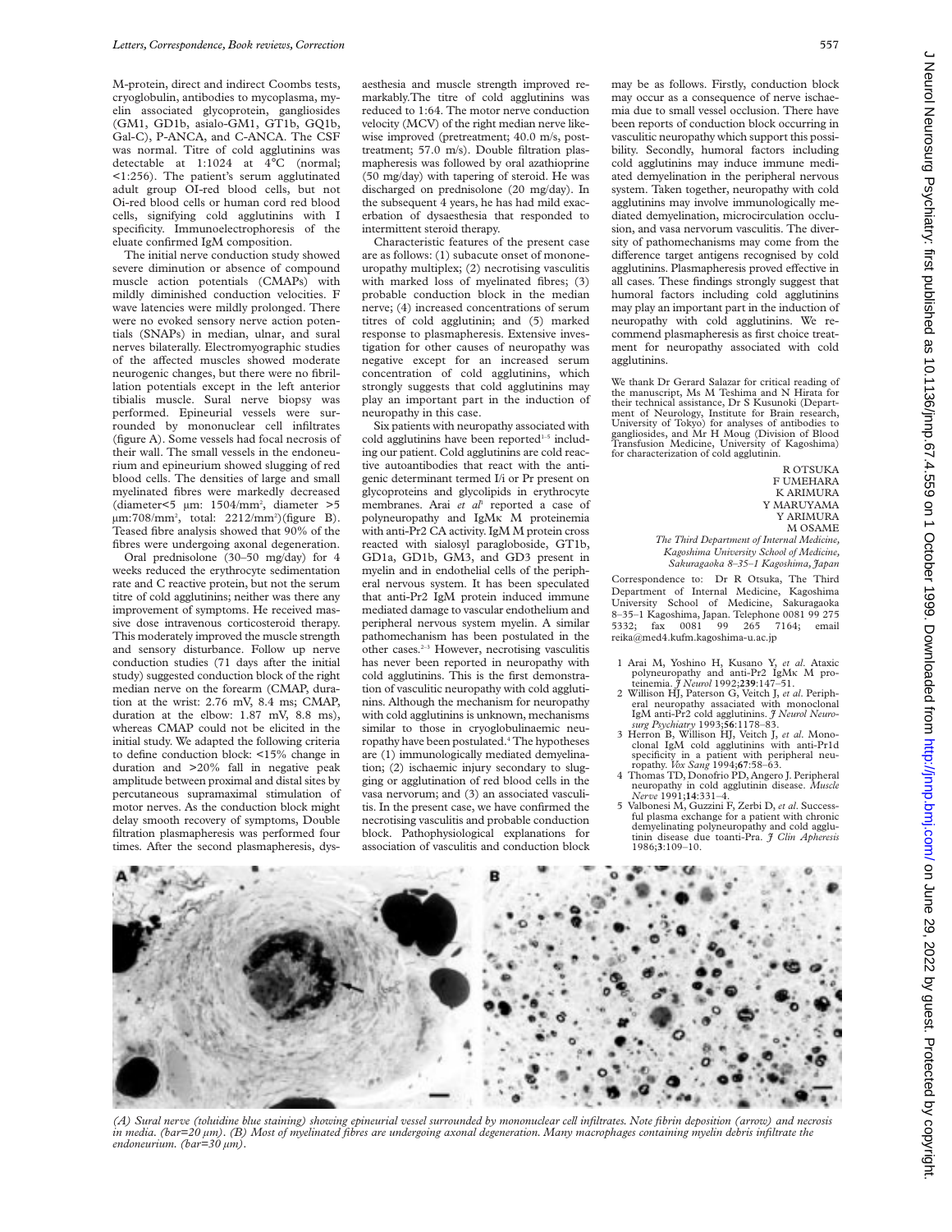M-protein, direct and indirect Coombs tests, cryoglobulin, antibodies to mycoplasma, myelin associated glycoprotein, gangliosides (GM1, GD1b, asialo-GM1, GT1b, GQ1b, Gal-C), P-ANCA, and C-ANCA. The CSF was normal. Titre of cold agglutinins was detectable at 1:1024 at 4°C (normal; <1:256). The patient's serum agglutinated adult group OI-red blood cells, but not Oi-red blood cells or human cord red blood cells, signifying cold agglutinins with I specificity. Immunoelectrophoresis of the eluate confirmed IgM composition.

The initial nerve conduction study showed severe diminution or absence of compound muscle action potentials (CMAPs) with mildly diminished conduction velocities. F wave latencies were mildly prolonged. There were no evoked sensory nerve action potentials (SNAPs) in median, ulnar, and sural nerves bilaterally. Electromyographic studies of the affected muscles showed moderate neurogenic changes, but there were no fibrillation potentials except in the left anterior tibialis muscle. Sural nerve biopsy was performed. Epineurial vessels were surrounded by mononuclear cell infiltrates (figure A). Some vessels had focal necrosis of their wall. The small vessels in the endoneurium and epineurium showed slugging of red blood cells. The densities of large and small myelinated fibres were markedly decreased (diameter<5 µm: 1504/mm<sup>2</sup>, diameter >5  $\mu$ m:708/mm<sup>2</sup>, total: 2212/mm<sup>2</sup>)(figure B). Teased fibre analysis showed that 90% of the fibres were undergoing axonal degeneration.

Oral prednisolone (30–50 mg/day) for 4 weeks reduced the erythrocyte sedimentation rate and C reactive protein, but not the serum titre of cold agglutinins; neither was there any improvement of symptoms. He received massive dose intravenous corticosteroid therapy. This moderately improved the muscle strength and sensory disturbance. Follow up nerve conduction studies (71 days after the initial study) suggested conduction block of the right median nerve on the forearm (CMAP, duration at the wrist: 2.76 mV, 8.4 ms; CMAP, duration at the elbow: 1.87 mV, 8.8 ms), whereas CMAP could not be elicited in the initial study. We adapted the following criteria to define conduction block: <15% change in duration and >20% fall in negative peak amplitude between proximal and distal sites by percutaneous supramaximal stimulation of motor nerves. As the conduction block might delay smooth recovery of symptoms, Double filtration plasmapheresis was performed four times. After the second plasmapheresis, dysaesthesia and muscle strength improved remarkably.The titre of cold agglutinins was reduced to 1:64. The motor nerve conduction velocity (MCV) of the right median nerve likewise improved (pretreatment; 40.0 m/s, posttreatment; 57.0 m/s). Double filtration plasmapheresis was followed by oral azathioprine (50 mg/day) with tapering of steroid. He was discharged on prednisolone (20 mg/day). In the subsequent 4 years, he has had mild exacerbation of dysaesthesia that responded to intermittent steroid therapy.

Characteristic features of the present case are as follows: (1) subacute onset of mononeuropathy multiplex; (2) necrotising vasculitis with marked loss of myelinated fibres; (3) probable conduction block in the median nerve; (4) increased concentrations of serum titres of cold agglutinin; and (5) marked response to plasmapheresis. Extensive investigation for other causes of neuropathy was negative except for an increased serum concentration of cold agglutinins, which strongly suggests that cold agglutinins may play an important part in the induction of neuropathy in this case.

Six patients with neuropathy associated with cold agglutinins have been reported $1-5$  including our patient. Cold agglutinins are cold reactive autoantibodies that react with the antigenic determinant termed I/i or Pr present on glycoproteins and glycolipids in erythrocyte membranes. Arai *et al*<sup>1</sup> reported a case of polyneuropathy and IgMK M proteinemia with anti-Pr2 CA activity. IgM M protein cross reacted with sialosyl paragloboside, GT1b, GD1a, GD1b, GM3, and GD3 present in myelin and in endothelial cells of the peripheral nervous system. It has been speculated that anti-Pr2 IgM protein induced immune mediated damage to vascular endothelium and peripheral nervous system myelin. A similar pathomechanism has been postulated in the other cases. $2-3$  However, necrotising vasculitis has never been reported in neuropathy with cold agglutinins. This is the first demonstration of vasculitic neuropathy with cold agglutinins. Although the mechanism for neuropathy with cold agglutinins is unknown, mechanisms similar to those in cryoglobulinaemic neuropathy have been postulated.4 The hypotheses are (1) immunologically mediated demyelination; (2) ischaemic injury secondary to slugging or agglutination of red blood cells in the vasa nervorum; and (3) an associated vasculitis. In the present case, we have confirmed the necrotising vasculitis and probable conduction block. Pathophysiological explanations for association of vasculitis and conduction block

may be as follows. Firstly, conduction block may occur as a consequence of nerve ischaemia due to small vessel occlusion. There have been reports of conduction block occurring in vasculitic neuropathy which support this possibility. Secondly, humoral factors including cold agglutinins may induce immune mediated demyelination in the peripheral nervous system. Taken together, neuropathy with cold agglutinins may involve immunologically mediated demyelination, microcirculation occlusion, and vasa nervorum vasculitis. The diversity of pathomechanisms may come from the difference target antigens recognised by cold agglutinins. Plasmapheresis proved effective in all cases. These findings strongly suggest that humoral factors including cold agglutinins may play an important part in the induction of neuropathy with cold agglutinins. We recommend plasmapheresis as first choice treatment for neuropathy associated with cold agglutinins.

We thank Dr Gerard Salazar for critical reading of the manuscript, Ms M Teshima and N Hirata for their technical assistance, Dr S Kusunoki (Department of Neurology, Institute for Brain research, University of Tokyo) for analyses of antibodies to gangliosides, and Mr H Moug (Division of Blood Transfusion Medicine, University of Kagoshima) for characterization of cold agglutinin.

> R OTSUKA F UMEHARA K ARIMURA Y MARUYAMA Y ARIMURA M OSAME *The Third Department of Internal Medicine, Kagoshima University School of Medicine, Sakuragaoka 8–35–1 Kagoshima, Japan*

Correspondence to: Dr R Otsuka, The Third Department of Internal Medicine, Kagoshima University School of Medicine, Sakuragaoka 8–35–1 Kagoshima, Japan. Telephone 0081 99 275 5332; fax 0081 99 265 7164; email reika@med4.kufm.kagoshima-u.ac.jp

- 1 Arai M, Yoshino H, Kusano Y, *et al*. Ataxic polyneuropathy and anti-Pr2 IgMe M pro-<br>teinemia  $\frac{7}{2}$  Neurol 1992:239:147–51
- teinemia.  $\tilde{\mathbf{y}}$  *Neurol* 1992; **239**:147–51.<br>2 Willison HJ, Paterson G, Veitch J, *et al*. Periph-<br>eral neuropathy assaciated with monoclonal IgM anti-Pr2 cold agglutinins. *J Neurol Neuro-*
- *surg Psychiatry* 1993;**56**:1178–83. 3 Herron B, Willison HJ, Veitch J, *et al*. Mono-clonal IgM cold agglutinins with anti-Pr1d specificity in a patient with peripheral neu-
- ropathy. *Vox Sang* 1994;**67**:58–63. 4 Thomas TD, Donofrio PD, Angero J. Peripheral neuropathy in cold agglutinin disease. *Muscle Nerve* 1991;**14**:331–4.
- 5 Valbonesi M, Guzzini F, Zerbi D, *et al*. Successful plasma exchange for a patient with chronic demyelinating polyneuropathy and cold agglu-tinin disease due toanti-Pra. *J Clin Apheresis* 1986;**3**:109–10.



*(A) Sural nerve (toluidine blue staining) showing epineurial vessel surrounded by mononuclear cell infiltrates. Note fibrin deposition (arrow) and necrosis in media. (bar=20 µm). (B) Most of myelinated fibres are undergoing axonal degeneration. Many macrophages containing myelin debris infiltrate the endoneurium. (bar=30 µm).*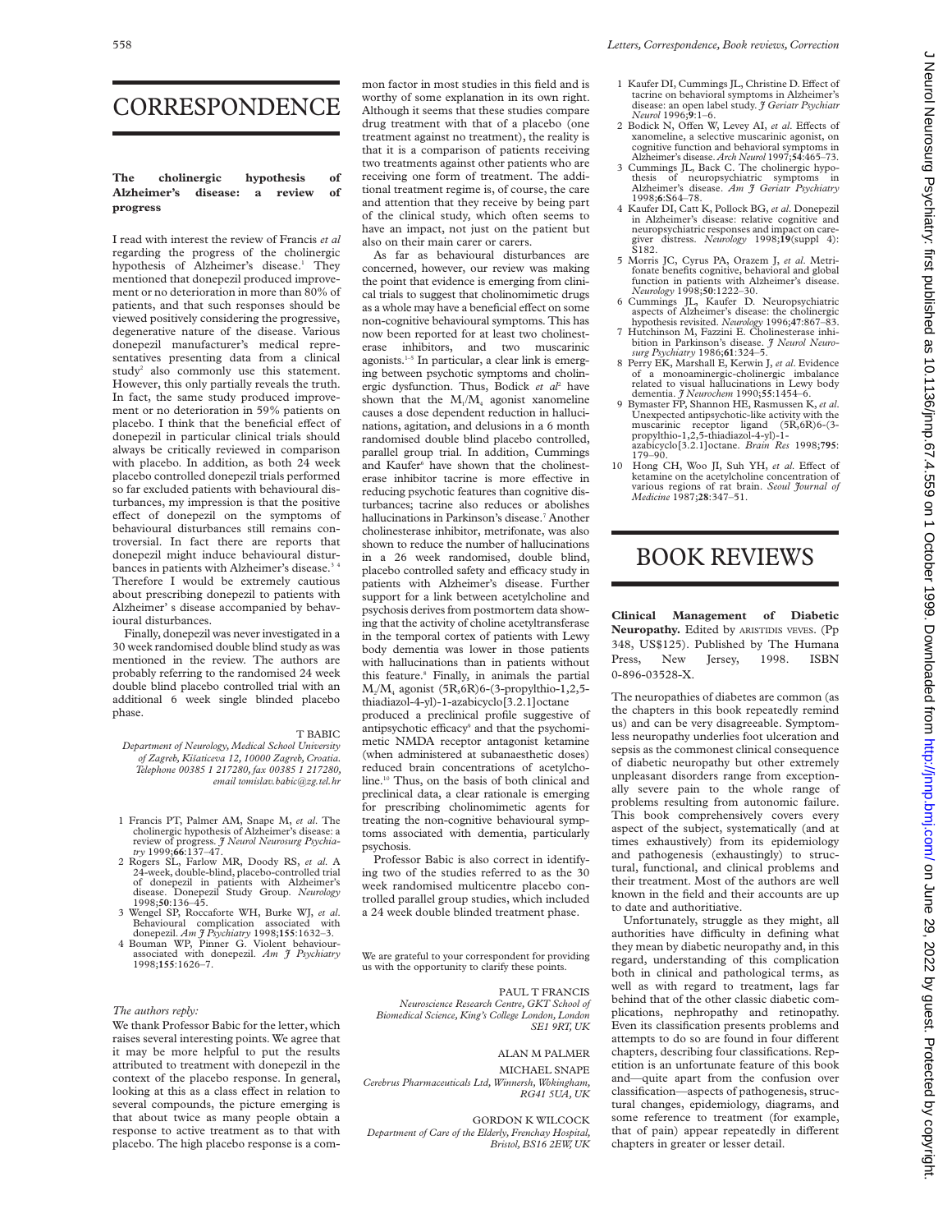- 1 Kaufer DI, Cummings JL, Christine D. Effect of tacrine on behavioral symptoms in Alzheimer's disease: an open label study. *J Geriatr Psychiatr Neurol* 1996;**9**:1–6. 2 Bodick N, Offen W, Levey AI, et al. Effects of xanomeline, a selective muscarinic agonist, on cognitive function and behavioral symptoms in Alzheimer's disease. *Arch Neurol* 1997;**54**:465–73.
- 3 Cummings JL, Back C. The cholinergic hypo-<br>thesis of neuronsychiatric symptoms in thesis of neuropsychiatric symptoms in Alzheimer's disease. *Am J Geriatr Psychiatry* 1998;**6**:S64–78.
- 4 Kaufer DI, Catt K, Pollock BG, *et al*. Donepezil in Alzheimer's disease: relative cognitive and neuropsychiatric responses and impact on care-giver distress. *Neurology* 1998;**19**(suppl 4): giver<br>S182.
- 5 Morris JC, Cyrus PA, Orazem J, *et al*. Metrifonate benefits cognitive, behavioral and global function in patients with Alzheimer's disease. *Neurology* 1998;**50**:1222–30. 6 Cummings JL, Kaufer D. Neuropsychiatric
- aspects of Alzheimer's disease: the cholinergic hypothesis revisited. *Neurology* 1996;**47**:867–83. 7 Hutchinson M, Fazzini E. Cholinesterase inhi-
- bition in Parkinson's disease. *J Neurol Neuro-surg Psychiatry* 1986;**61**:324–5. 8 Perry EK, Marshall E, Kerwin J, *et al*. Evidence
- a monoaminergic-cholinergic imbalance related to visual hallucinations in Lewy body dementia. *J Neurochem* 1990;**55**:1454–6.
- 9 Bymaster FP, Shannon HE, Rasmussen K, *et al*. Unexpected antipsychotic-like activity with the muscarinic receptor ligand (5R,6R)6-(3- propylthio-1,2,5-thiadiazol-4-yl)-1 azabicyclo[3.2.1]octane. *Brain Res* 1998;**795**: 179–90.
- 10 Hong CH, Woo JI, Suh YH, *et al*. Effect of ketamine on the acetylcholine concentration of various regions of rat brain. *Seoul Journal of Medicine* 1987;**28**:347–51.

# BOOK REVIEWS

**Clinical Management of Diabetic Neuropathy.** Edited by ARISTIDIS VEVES. (Pp 348, US\$125). Published by The Humana Press, New Jersey, 1998. ISBN 0-896-03528-X.

The neuropathies of diabetes are common (as the chapters in this book repeatedly remind us) and can be very disagreeable. Symptomless neuropathy underlies foot ulceration and sepsis as the commonest clinical consequence of diabetic neuropathy but other extremely unpleasant disorders range from exceptionally severe pain to the whole range of problems resulting from autonomic failure. This book comprehensively covers every aspect of the subject, systematically (and at times exhaustively) from its epidemiology and pathogenesis (exhaustingly) to structural, functional, and clinical problems and their treatment. Most of the authors are well known in the field and their accounts are up to date and authoritiative.

Unfortunately, struggle as they might, all authorities have difficulty in defining what they mean by diabetic neuropathy and, in this regard, understanding of this complication both in clinical and pathological terms, as well as with regard to treatment, lags far behind that of the other classic diabetic complications, nephropathy and retinopathy. Even its classification presents problems and attempts to do so are found in four different chapters, describing four classifications. Repetition is an unfortunate feature of this book and—quite apart from the confusion over classification—aspects of pathogenesis, structural changes, epidemiology, diagrams, and some reference to treatment (for example, that of pain) appear repeatedly in different chapters in greater or lesser detail.

# CORRESPONDENCE

# **The cholinergic hypothesis of Alzheimer's disease: a review of progress**

I read with interest the review of Francis *et al* regarding the progress of the cholinergic hypothesis of Alzheimer's disease.<sup>1</sup> They mentioned that donepezil produced improvement or no deterioration in more than 80% of patients, and that such responses should be viewed positively considering the progressive, degenerative nature of the disease. Various donepezil manufacturer's medical representatives presenting data from a clinical study<sup>2</sup> also commonly use this statement. However, this only partially reveals the truth. In fact, the same study produced improvement or no deterioration in 59% patients on placebo. I think that the beneficial effect of donepezil in particular clinical trials should always be critically reviewed in comparison with placebo. In addition, as both 24 week placebo controlled donepezil trials performed so far excluded patients with behavioural disturbances, my impression is that the positive effect of donepezil on the symptoms of behavioural disturbances still remains controversial. In fact there are reports that donepezil might induce behavioural disturbances in patients with Alzheimer's disease.<sup>3</sup> Therefore I would be extremely cautious about prescribing donepezil to patients with Alzheimer' s disease accompanied by behavioural disturbances.

Finally, donepezil was never investigated in a 30 week randomised double blind study as was mentioned in the review. The authors are probably referring to the randomised 24 week double blind placebo controlled trial with an additional 6 week single blinded placebo phase.

# T BABIC

*Department of Neurology, Medical School University of Zagreb, Kisˇaticeva 12, 10000 Zagreb, Croatia. Telephone 00385 1 217280, fax 00385 1 217280, email tomislav.babic@zg.tel.hr*

- 1 Francis PT, Palmer AM, Snape M, *et al*. The cholinergic hypothesis of Alzheimer's disease: a review of progress. *J Neurol Neurosurg Psychia-*
- *try* 1999;**66**:137–47. 2 Rogers SL, Farlow MR, Doody RS, *et al*. A 24-week, double-blind, placebo-controlled trial of donepezil in patients with Alzheimer's disease. Donepezil Study Group. *Neurology*
- 1998;**50**:136–45. 3 Wengel SP, Roccaforte WH, Burke WJ, *et al*. Behavioural complication associated with donepezil. *Am J Psychiatry* 1998;**155**:1632–3. 4 Bouman WP, Pinner G. Violent behaviour-
- associated with donepezil. *Am J Psychiatry* 1998;**155**:1626–7.

# *The authors reply:*

We thank Professor Babic for the letter, which raises several interesting points. We agree that it may be more helpful to put the results attributed to treatment with donepezil in the context of the placebo response. In general, looking at this as a class effect in relation to several compounds, the picture emerging is that about twice as many people obtain a response to active treatment as to that with placebo. The high placebo response is a common factor in most studies in this field and is worthy of some explanation in its own right. Although it seems that these studies compare drug treatment with that of a placebo (one treatment against no treatment), the reality is that it is a comparison of patients receiving two treatments against other patients who are receiving one form of treatment. The additional treatment regime is, of course, the care and attention that they receive by being part of the clinical study, which often seems to have an impact, not just on the patient but also on their main carer or carers.

As far as behavioural disturbances are concerned, however, our review was making the point that evidence is emerging from clinical trials to suggest that cholinomimetic drugs as a whole may have a beneficial effect on some non-cognitive behavioural symptoms. This has now been reported for at least two cholinesterase inhibitors, and two muscarinic agonists.<sup>1-5</sup> In particular, a clear link is emerging between psychotic symptoms and cholinergic dysfunction. Thus, Bodick *et al*<sup>2</sup> have shown that the  $M_1/M_4$  agonist xanomeline causes a dose dependent reduction in hallucinations, agitation, and delusions in a 6 month randomised double blind placebo controlled, parallel group trial. In addition, Cummings and Kaufer<sup>6</sup> have shown that the cholinesterase inhibitor tacrine is more effective in reducing psychotic features than cognitive disturbances; tacrine also reduces or abolishes hallucinations in Parkinson's disease.<sup>7</sup> Another cholinesterase inhibitor, metrifonate, was also shown to reduce the number of hallucinations in a 26 week randomised, double blind, placebo controlled safety and efficacy study in patients with Alzheimer's disease. Further support for a link between acetylcholine and psychosis derives from postmortem data showing that the activity of choline acetyltransferase in the temporal cortex of patients with Lewy body dementia was lower in those patients with hallucinations than in patients without this feature.<sup>8</sup> Finally, in animals the partial  $M_2/M_4$  agonist (5R,6R)6-(3-propylthio-1,2,5thiadiazol-4-yl)-1-azabicyclo[3.2.1]octane

produced a preclinical profile suggestive of antipsychotic efficacy<sup>9</sup> and that the psychomimetic NMDA receptor antagonist ketamine (when administered at subanaesthetic doses) reduced brain concentrations of acetylcholine.10 Thus, on the basis of both clinical and preclinical data, a clear rationale is emerging for prescribing cholinomimetic agents for treating the non-cognitive behavioural symptoms associated with dementia, particularly psychosis.

Professor Babic is also correct in identifying two of the studies referred to as the 30 week randomised multicentre placebo controlled parallel group studies, which included a 24 week double blinded treatment phase.

We are grateful to your correspondent for providing us with the opportunity to clarify these points.

PAUL T FRANCIS *Neuroscience Research Centre, GKT School of Biomedical Science, King's College London, London SE1 9RT, UK*

# ALAN M PALMER

MICHAEL SNAPE *Cerebrus Pharmaceuticals Ltd, Winnersh, Wokingham, RG41 5UA, UK*

# GORDON K WILCOCK

*Department of Care of the Elderly, Frenchay Hospital, Bristol, BS16 2EW, UK*